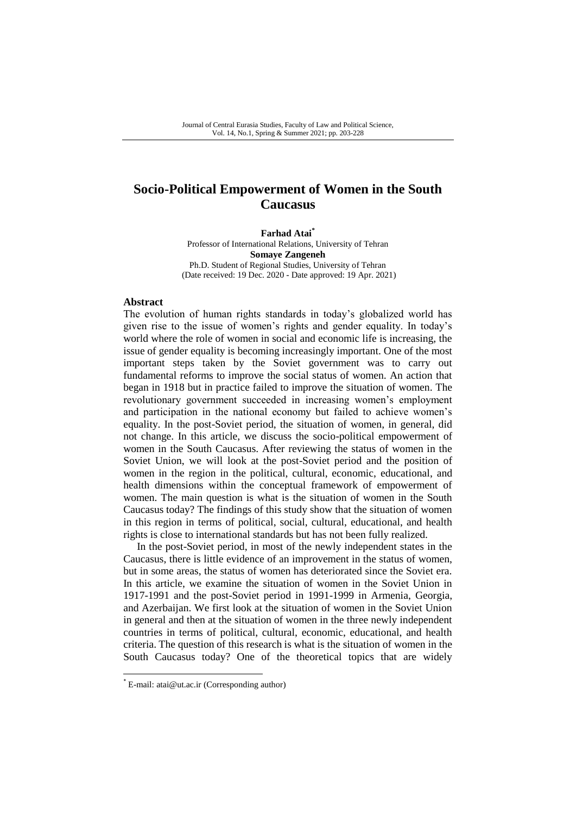# **Socio-Political Empowerment of Women in the South Caucasus**

**Farhad Atai\*** Professor of International Relations, University of Tehran **Somaye Zangeneh** Ph.D. Student of Regional Studies, University of Tehran (Date received: 19 Dec. 2020 - Date approved: 19 Apr. 2021)

#### **Abstract**

The evolution of human rights standards in today"s globalized world has given rise to the issue of women"s rights and gender equality. In today"s world where the role of women in social and economic life is increasing, the issue of gender equality is becoming increasingly important. One of the most important steps taken by the Soviet government was to carry out fundamental reforms to improve the social status of women. An action that began in 1918 but in practice failed to improve the situation of women. The revolutionary government succeeded in increasing women"s employment and participation in the national economy but failed to achieve women"s equality. In the post-Soviet period, the situation of women, in general, did not change. In this article, we discuss the socio-political empowerment of women in the South Caucasus. After reviewing the status of women in the Soviet Union, we will look at the post-Soviet period and the position of women in the region in the political, cultural, economic, educational, and health dimensions within the conceptual framework of empowerment of women. The main question is what is the situation of women in the South Caucasus today? The findings of this study show that the situation of women in this region in terms of political, social, cultural, educational, and health rights is close to international standards but has not been fully realized.

In the post-Soviet period, in most of the newly independent states in the Caucasus, there is little evidence of an improvement in the status of women, but in some areas, the status of women has deteriorated since the Soviet era. In this article, we examine the situation of women in the Soviet Union in 1917-1991 and the post-Soviet period in 1991-1999 in Armenia, Georgia, and Azerbaijan. We first look at the situation of women in the Soviet Union in general and then at the situation of women in the three newly independent countries in terms of political, cultural, economic, educational, and health criteria. The question of this research is what is the situation of women in the South Caucasus today? One of the theoretical topics that are widely

-

<sup>\*</sup> E-mail: atai@ut.ac.ir (Corresponding author)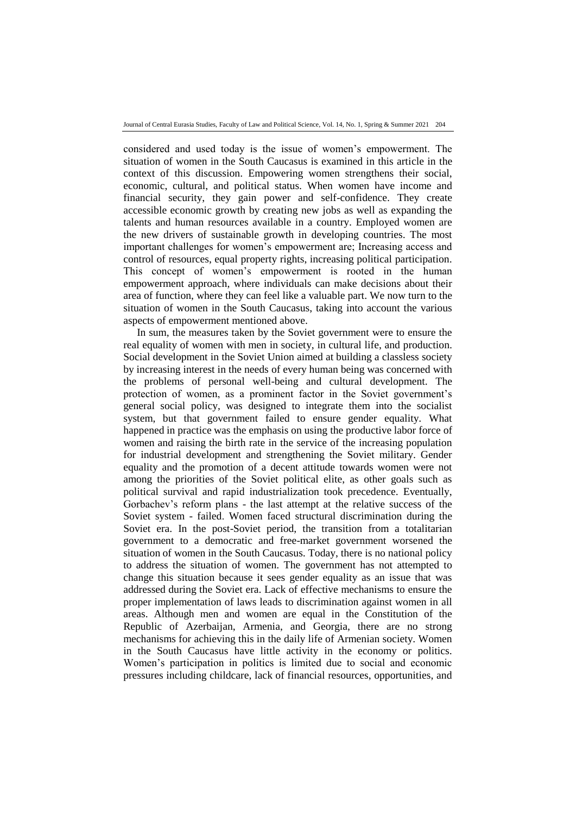considered and used today is the issue of women"s empowerment. The situation of women in the South Caucasus is examined in this article in the context of this discussion. Empowering women strengthens their social, economic, cultural, and political status. When women have income and financial security, they gain power and self-confidence. They create accessible economic growth by creating new jobs as well as expanding the talents and human resources available in a country. Employed women are the new drivers of sustainable growth in developing countries. The most important challenges for women"s empowerment are; Increasing access and control of resources, equal property rights, increasing political participation. This concept of women"s empowerment is rooted in the human empowerment approach, where individuals can make decisions about their area of function, where they can feel like a valuable part. We now turn to the situation of women in the South Caucasus, taking into account the various aspects of empowerment mentioned above.

In sum, the measures taken by the Soviet government were to ensure the real equality of women with men in society, in cultural life, and production. Social development in the Soviet Union aimed at building a classless society by increasing interest in the needs of every human being was concerned with the problems of personal well-being and cultural development. The protection of women, as a prominent factor in the Soviet government"s general social policy, was designed to integrate them into the socialist system, but that government failed to ensure gender equality. What happened in practice was the emphasis on using the productive labor force of women and raising the birth rate in the service of the increasing population for industrial development and strengthening the Soviet military. Gender equality and the promotion of a decent attitude towards women were not among the priorities of the Soviet political elite, as other goals such as political survival and rapid industrialization took precedence. Eventually, Gorbachev"s reform plans - the last attempt at the relative success of the Soviet system - failed. Women faced structural discrimination during the Soviet era. In the post-Soviet period, the transition from a totalitarian government to a democratic and free-market government worsened the situation of women in the South Caucasus. Today, there is no national policy to address the situation of women. The government has not attempted to change this situation because it sees gender equality as an issue that was addressed during the Soviet era. Lack of effective mechanisms to ensure the proper implementation of laws leads to discrimination against women in all areas. Although men and women are equal in the Constitution of the Republic of Azerbaijan, Armenia, and Georgia, there are no strong mechanisms for achieving this in the daily life of Armenian society. Women in the South Caucasus have little activity in the economy or politics. Women"s participation in politics is limited due to social and economic pressures including childcare, lack of financial resources, opportunities, and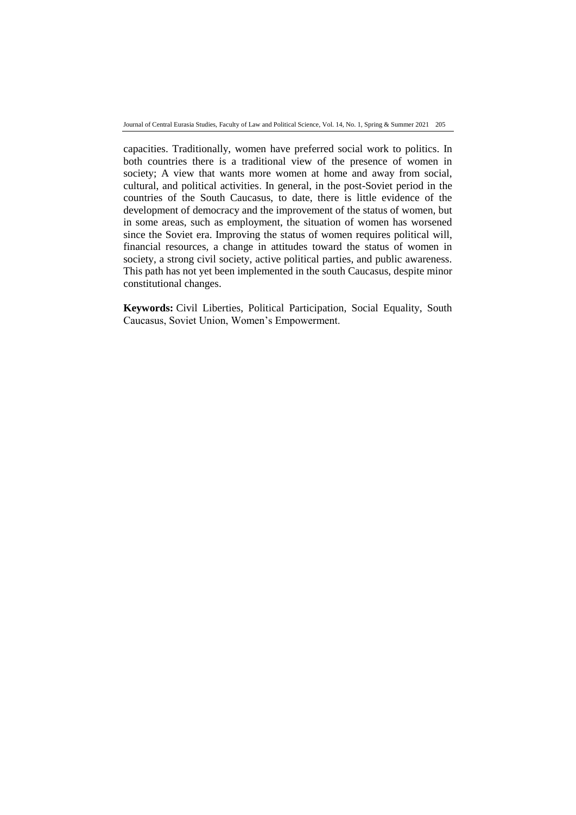Journal of Central Eurasia Studies, Faculty of Law and Political Science, Vol. 14, No. 1, Spring & Summer 2021 205

capacities. Traditionally, women have preferred social work to politics. In both countries there is a traditional view of the presence of women in society; A view that wants more women at home and away from social, cultural, and political activities. In general, in the post-Soviet period in the countries of the South Caucasus, to date, there is little evidence of the development of democracy and the improvement of the status of women, but in some areas, such as employment, the situation of women has worsened since the Soviet era. Improving the status of women requires political will, financial resources, a change in attitudes toward the status of women in society, a strong civil society, active political parties, and public awareness. This path has not yet been implemented in the south Caucasus, despite minor constitutional changes.

**Keywords:** Civil Liberties, Political Participation, Social Equality, South Caucasus, Soviet Union, Women"s Empowerment.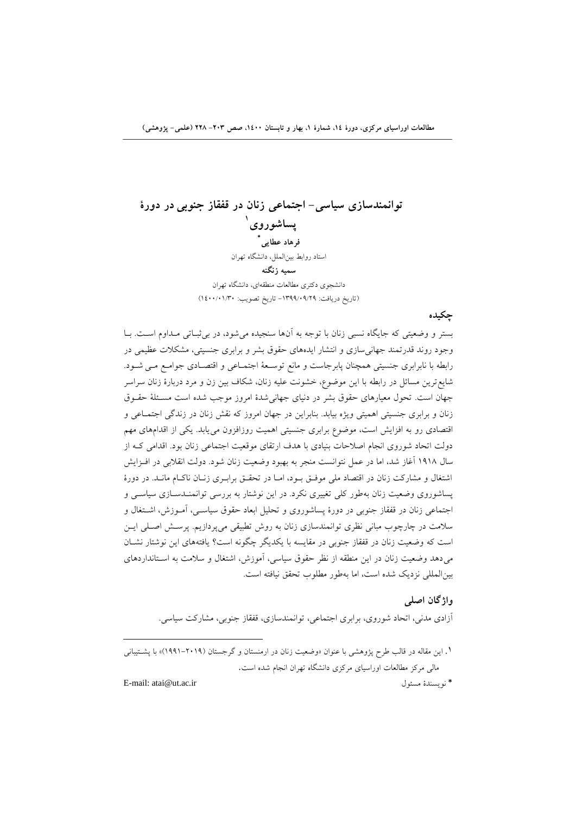**توانمندسازي سياسی- اجتماعی زنان در قفقاز جنوبیدر دورة 4 پساضوروي \* فرهاد عطایی** استاد روابط بين|لملل، دانشگاه تهران **سميه زنگنه** دانشجوی دکتری مطالعات منطقهای، دانشگاه تهران (تاريخ دريافت: ١٣٩٩/٠٩/٢٩ - تاريخ تصويب: ١٤٠٠/٠١/٣٠)

بستر و وضعیتی که جایگاه نسبی زنان با توجه به آنها سنجیده می شود، در بی ثبـاتی مـداوم اسـت. بـا وجود روند قدرتمند جهانی سازی و انتشار ایدههای حقوق بشر و برابری جنسیتی، مشکلات عظیمی در رابطه با نابرابری جنسیتی همچنان پابرجاست و مانع توسـعهٔ اجتمـاعی و اقتصـادی جوامـع مـی شـود. شايع ترين مسائل در رابطه با اين موضوع، خشونت عليه زنان، شكاف بين زن و مرد دربارهٔ زنان سراسر جهان است. تحول معیارهای حقوق بشر در دنیای جهانیشدهٔ امروز موجب شده است مسـئلهٔ حقـوق زنان و برابری جنسیتی اهمیتی ویژه بیابد. بنابراین در جهان امروز که نقش زنان در زندگی اجتمـاعی و اقتصادی رو به افزایش است، موضوع برابری جنسیتی اهمیت روزافزون میءیابد. یکی از اقدامهای مهم دولت اتحاد شوروى انجام اصلاحات بنيادى با هدف ارتقاى موقعيت اجتماعى زنان بود. اقدامى كـه از سال ۱۹۱۸ آغاز شد، اما در عمل نتوانست منجر به بهبود وضعیت زنان شود. دولت انقلابی در افـزایش اشتغال و مشاركت زنان در اقتصاد ملي موفـق بـود، امـا در تحقـق برابـرى زنـان ناكـام مانـد. در دورهٔ پساشوروی وضعیت زنان بهطور کلی تغییری نکرد. در این نوشتار به بررسی توانمنـدسـازی سیاسـی و اجتماعی زنان در قفقاز جنوبی در دورهٔ پساشوروی و تحلیل ابعاد حقوق سیاسـی، آمـوزش، اشـتغال و سلامت در چارچوب مبانی نظری توانمندسازی زنان به روش تطبیقی میپردازیم. پرسـش اصـلی ایــن است كه وضعيت زنان در قفقاز جنوبي در مقايسه با يكديگر چگونه است؟ يافتههاى اين نوشتار نشـان میدهد وضعیت زنان در این منطقه از نظر حقوق سیاسی، آموزش، اشتغال و سلامت به استانداردهای بین المللی نزدیک شده است، اما بهطور مطلوب تحقق نیافته است.

### **واشگان اصلی**

**چکيده**

آزادي مدني، اتحاد شوروي، برابري اجتماعي، توانمندسازي، قفقاز جنوبي، مشاركت سياسي.

E-mail: atai@ut.ac.ir َٛؿلٔ ٠سٙؿ٤ٛ٘\*

ا . این مقاله در قالب طرح پژوهشی با عنوان «وضعیت زنان در ارمنستان و گرجستان (۲۰۱۹–۱۹۹۱)» با پشــتیبانـ<sub>ه ،</sub> مالی مرکز مطالعات اوراسیای مرکزی دانشگاه تهران انجام شده است.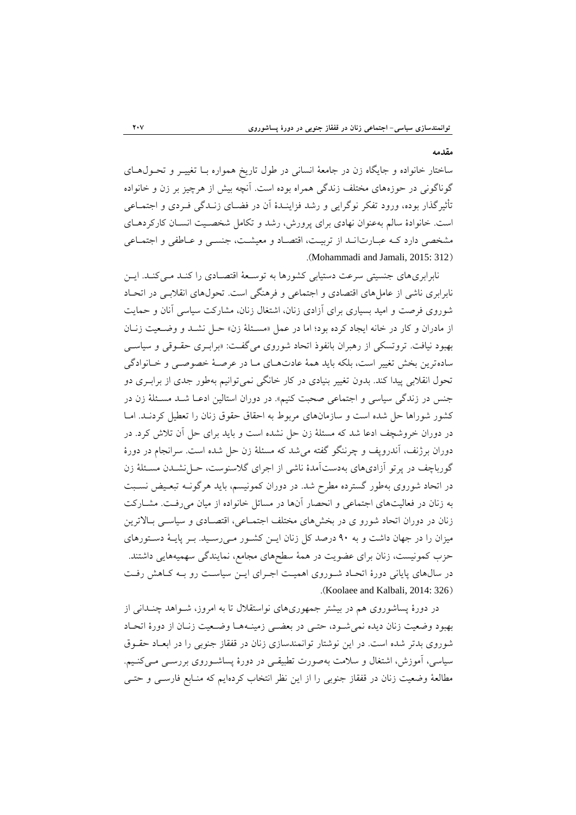#### **مقدمه**

ساختار خانواده و جايگاه زن در جامعهٔ انساني در طول تاريخ همواره بـا تغييـر و تحـول١هـاى گوناگونی در حوزههای مختلف زندگی همراه بوده است. آنچه بیش از هرچیز بر زن و خانواده تأثیرگذار بوده، ورود تفکر نوگرایی و رشد فزاینـدهٔ آن در فضـای زنـدگی فـردی و اجتمـاعی است. خانوادهٔ سالم بهعنوان نهادی برای پرورش، رشد و تکامل شخصـیت انسـان کارکردهـای مشخصی دارد ک عبـارتانـد از تربیـت، اقتصـاد و معیشـت، جنسـی و عـاطفی و اجتمـاعی .(Mohammadi and Jamali, 2015: 312)

نابرابریهای جنسیتی سرعت دستیابی کشورها به توسـعهٔ اقتصـادی را کنـد مـیکنـد. ایـن نابرابری ناشی از عاملهای اقتصادی و اجتماعی و فرهنگی است. تحولهای انقلابـی در اتحـاد شوروی فرصت و امید بسیاری برای آزادی زنان، اشتغال زنان، مشارکت سیاسی آنان و حمایت از مادران و کار در خانه ایجاد کرده بود؛ اما در عمل «مسئلهٔ زن» حـل نشـد و وضـعیت زنـان بهبود نيافت. تروتسكي از رهبران بانفوذ اتحاد شوروي مي گفت: «برابـري حقـوقي و سياسـي سادهترین بخش تغییر است، بلکه باید همهٔ عادتهـای مـا در عرصـهٔ خصوصـی و خـانوادگی تحول انقلابی پیدا کند. بدون تغییر بنیادی در کار خانگی نمی توانیم بهطور جدی از برابـری دو جنس در زندگی سیاسی و اجتماعی صحبت کنیم». در دوران استالین ادعـا شـد مسـئلهٔ زن در كشور شوراها حل شده است و سازمانهای مربوط به احقاق حقوق زنان را تعطیل کردنـد. امـا در دوران خروشچف ادعا شد كه مسئلهٔ زن حل نشده است و باید برای حل آن تلاش كرد. در دوران برژنف، آندروپف و چرننگو گفته می شد که مسئلهٔ زن حل شده است. سرانجام در دورهٔ گورباچف در پرتو آزادیهای بهدستآمدهٔ ناشی از اجرای گلاسنوست، حـل نشــدن مسـئلهٔ زن در اتحاد شوروى بهطور گسترده مطرح شد. در دوران كمونيسم، بايد هرگونـه تبعـيض نسـبت به زنان در فعالیتهای اجتماعی و انحصار آنها در مسائل خانواده از میان می رفت. مشــارکت زنان در دوران اتحاد شورو ی در بخشهای مختلف اجتمـاعی، اقتصـادی و سیاسـی بـالاترین میزان را در جهان داشت و به ۹۰ درصد كل زنان ايـن كشـور مـىرسـيد. بـر پايـهٔ دسـتورهاى حزب کمونیست، زنان برای عضویت در همهٔ سطحهای مجامع، نمایندگی سهمیههایی داشتند. در سالهای پایانی دورهٔ اتحـاد شـوروی اهمیـت اجـرای ایـن سیاسـت رو بـه کـاهش رفـت .(Koolaee and Kalbali, 2014: 326)

در دورهٔ پساشوروی هم در بیشتر جمهوریهای نواستقلال تا به امروز، شــواهد چنــدانی از بهبود وضعيت زنان ديده نمي شـود، حتـي در بعضـي زمينــههـا وضـعيت زنــان از دورهٔ اتحـاد شوروي بدتر شده است. در اين نوشتار توانمندسازي زنان در قفقاز جنوبي را در ابعـاد حقـوق سیاسی، آموزش، اشتغال و سلامت بهصورت تطبیقے در دورۂ پساشـوروی بررسـی مـیکنـیم. مطالعهٔ وضعیت زنان در قفقاز جنوبی را از این نظر انتخاب کردهایم که منـابع فارسـی و حتـی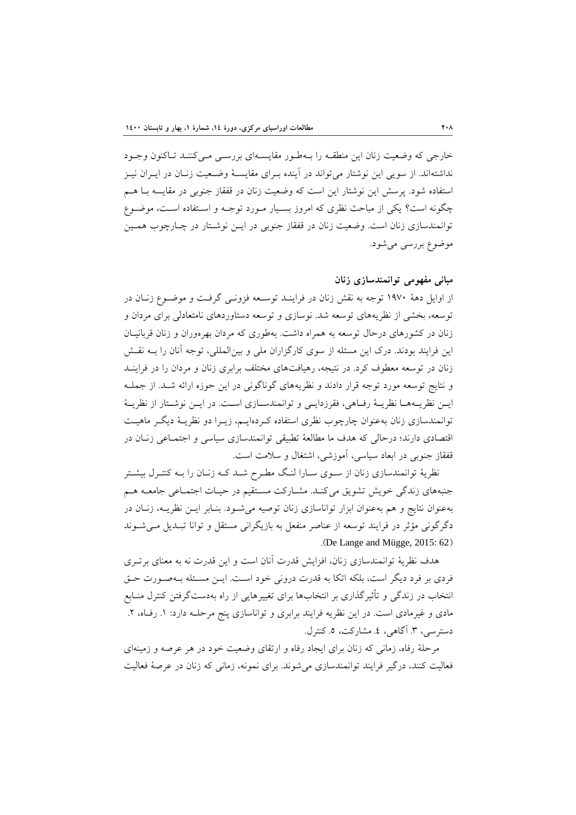خارجي كه وضعيت زنان اين منطقـه را بـهطـور مقايسـهاي بررسـي مـيكننـد تـاكنون وجـود نداشتهاند. از سویی این نوشتار میتواند در آینده بـرای مقایسـهٔ وضـعیت زنـان در ایـران نیـز استفاده شود. پرسش این نوشتار این است که وضعیت زنان در قفقاز جنوبی در مقایسه بـا هـم چگونه است؟ یکی از مباحث نظری که امروز بسـیار مـورد توجـه و اسـتفاده اسـت، موضـوع توانمندسازی زنان است. وضعیت زنان در قفقاز جنوبی در ایـن نوشـتار در چـارچوب همـین موضوع بررسي مي شود.

### **مبانی مفهومی توانمندسازي زنان**

از اوایل دههٔ ۱۹۷۰ توجه به نقش زنان در فراینـد توسـعه فزونـی گرفـت و موضـوع زنـان در توسعه، بخشی از نظریههای توسعه شد. نوسازی و توسعه دستاوردهای نامتعادلی برای مردان و زنان در كشورهاى درحال توسعه به همراه داشت. بهطورى كه مردان بهرهوران و زنان قربانيــان این فرایند بودند. درک این مسئله از سوی کارگزاران ملی و بینالمللی، توجه آنان را بـه نقـش زنان در توسعه معطوف کرد. در نتیجه، رهیافتهای مختلف برابری زنان و مردان را در فراینـد و نتايج توسعه مورد توجه قرار دادند و نظريههاى گوناگونى در اين حوزه ارائه شـد. از جملـه ايـن نظريــههــا نظريــهٔ رفــاهي، فقرزدايــي و توانمندســازي اســت. در ايــن نوشــتار از نظريــهٔ توانمندسازی زنان به عنوان چارچوب نظری استفاده که دهایـم، زیـرا دو نظریـهٔ دیگـر ماهیـت اقتصادی دارند؛ درحالی که هدف ما مطالعهٔ تطبیقی توانمندسازی سیاسی و اجتمـاعی زنـان در قفقاز جنوبی در ابعاد سیاسی، آموزشی، اشتغال و سلامت است.

نظريهٔ توانمندسازي زنان از سـوى سـارا لنـگ مطـرح شـد كـه زنـان را بـه كنتـرل بيشـتر جنبههای زندگی خویش تشویق می كنـد. مشـاركت مسـتقیم در حیـات اجتمـاعی جامعـه هـم بهعنوان نتايج و هم بهعنوان ابزار تواناسازي زنان توصيه مي شـود. بنـابر ايــن نظريــه، زنـان در دگرگونی مؤثر در فرایند توسعه از عناصر منفعل به بازیگرانی مستقل و توانا تبـدیل مـیشـوند .(De Lange and Mügge,  $2015: 62$ )

هدف نظريهٔ توانمندسازی زنان، افزايش قدرت آنان است و اين قدرت نه به معنای برتـری فردي بر فرد ديگر است، بلكه اتكا به قدرت دروني خود است. ايـن مسـئله بـهصـورت حـق انتخاب در زندگی و تأثیرگذاری بر انتخابها برای تغییرهایی از راه بهدستگرفتن کنترل منـابع مادی و غیرمادی است. در این نظریه فرایند برابری و تواناسازی پنج مرحلـه دارد: ١. رفIه، ٢. دسترسي، ٣. آگاهي، ٤. مشاركت، ٥. كنترل.

مرحلهٔ رفاه، زمانی که زنان برای ایجاد رفاه و ارتقای وضعیت خود در هر عرصه و زمینهای فعالیت کنند، درگیر فرایند توانمندسازی می شوند. برای نمونه، زمانی که زنان در عرصهٔ فعالیت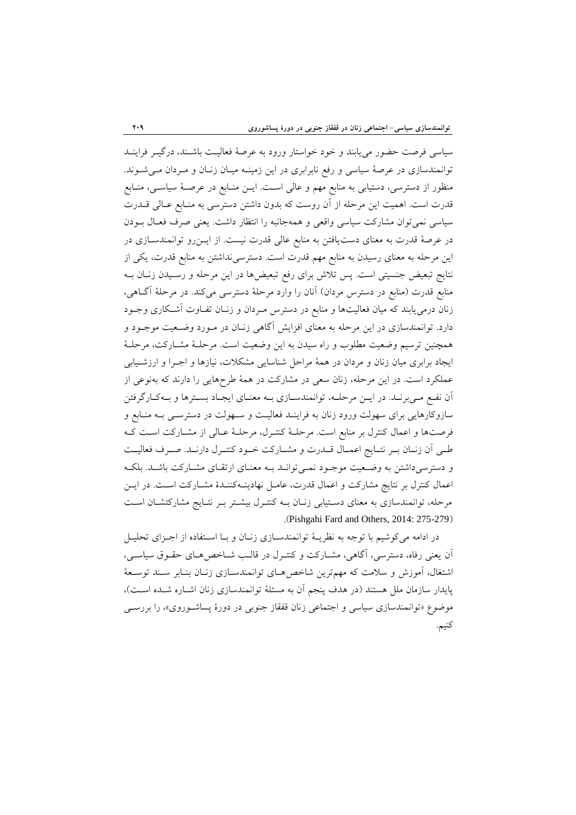سیاسی فرصت حضور می یابند و خود خواستار ورود به عرصهٔ فعالیت باشـند، درگیــر فراینــد توانمندسازی در عرصهٔ سیاسی و رفع نابرابری در این زمینـه میـان زنـان و مـردان مـیشـوند. منظور از دسترسی، دستیابی به منابع مهم و عالی اسـت. ایــن منــابع در عرصــهٔ سیاســی، منــابع قدرت است. اهمیت این مرحله از آن روست که بدون داشتن دسترسی به منـابع عـالی قــدرت سیاسی نمیتوان مشارکت سیاسی واقعی و همهجانبه را انتظار داشت. یعنی صرف فعـال بـودن در عرصهٔ قدرت به معنای دست یافتن به منابع عالی قدرت نیست. از ایسزرو توانمندسازی در این مرحله به معنای رسیدن به منابع مهم قدرت است. دسترسی نداشتن به منابع قدرت، یکی از نتايج تبعيض جنسيتي است. پس تلاش براي رفع تبعيضها در اين مرحله و رسـيدن زنــان بــه منابع قدرت (منابع در دسترس مردان) آنان را وارد مرحلهٔ دسترسی میکند. در مرحلهٔ آگـاهی، زنان درمیٍ یابند که میان فعالیتها و منابع در دسترس مـردان و زنـان تفـاوت آشـکاری وجـود دارد. توانمندسازی در این مرحله به معنای افزایش آگاهی زنـان در مـورد وضـعیت موجـود و همچنین ترسیم وضعیت مطلوب و راه سیدن به این وضعیت است. مرحلـهٔ مشـارکت، مرحلـهٔ ایجاد برابری میان زنان و مردان در همهٔ مراحل شناسایی مشکلات، نیازها و اجــرا و ارزشــیابی عملکرد است. در این مرحله، زنان سعی در مشارکت در همهٔ طرحهایی را دارند که بهنوعی از آن نفع میپرنـد. در ايـن مرحلـه، توانمندسـازي بـه معنـاي ايجـاد بسـترها و بـهكـارگرفتن سازوکارهایی برای سهولت ورود زنان به فراینـد فعالیـت و سـهولت در دسترسـی بـه منـابع و فرصتها و اعمال كنترل بر منابع است. مرحلـهٔ كنتـرل، مرحلـهٔ عـالى از مشـاركت اسـت كـه طبي اَن زنـان بـر نتـايج اعمـال قــدرت و مشــاركت خــود كنتـرل دارنــد. صـرف فعاليــت و دسترسی داشتن به وضعیت موجبود نمی توانید ببه معنیای ارتقیای مشیارکت باشید. بلک اعمال كنترل بر نتايج مشاركت و اعمال قدرت، عامـل نهادينـهكننـدة مشـاركت اسـت. در ايـن مرحله، توانمندسازی به معنای دستیابی زنـان بـه کنتـرل بیشـتر بـر نتـایج مشارکتشـان اسـت .(Pishgahi Fard and Others, 2014: 275-279)

در ادامه می کوشیم با توجه به نظریـهٔ توانمندسـازی زنـان و بـا اسـتفاده از اجـزای تحليـل آن يعني رفاه، دسترسي، آگاهي، مشـاركت و كنتـرل در قالـب شـاخص هـاي حقـوق سياسـي، اشتغال، آموزش و سلامت که مهمترین شاخص هـای توانمندسـازی زنـان بنـابر سـند توسـعهٔ پایدار سازمان ملل هستند (در هدف پنجم آن به مسئلهٔ توانمندسازی زنان اشـاره شـده اسـت)، موضوع «توانمندسازی سیاسی و اجتماعی زنان قفقاز جنوبی در دورهٔ پساشوروی»، را بررسـی كنيم.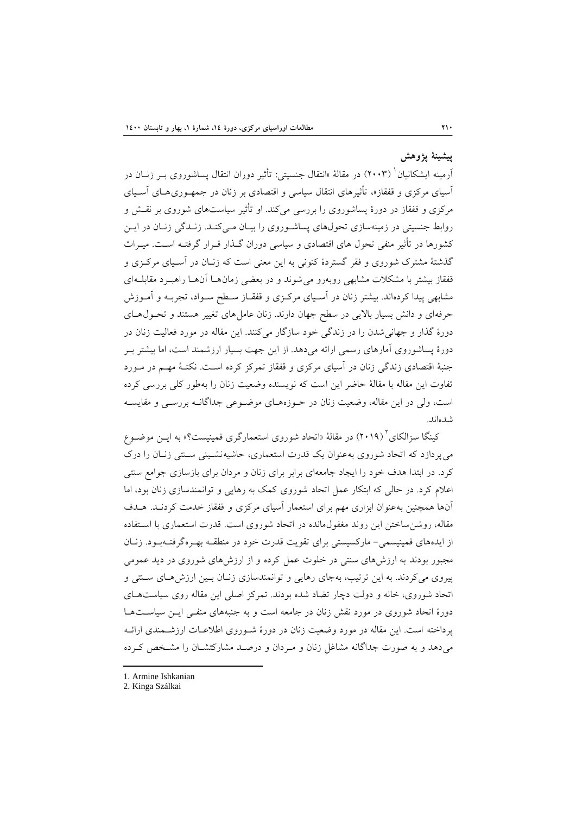# **پيطينۀ پصوهص**

أرمينه ايشكانيان` (٢٠٠٣) در مقالهٔ »انتقال جنسيتى: تأثير دوران انتقال پساشوروى بــر زنــان در آسیای مرکزی و قفقاز»، تأثیرهای انتقال سیاسی و اقتصادی بر زنان در جمهـوری۵هـای آسـیای مرکزی و قفقاز در دورهٔ پساشوروی را بررسی میکند. او تأثیر سیاستهای شوروی بر نقـش و روابط جنسیتی در زمینهسازی تحولهای پساشوروی را بیـان مـیکنـد. زنـدگی زنـان در ایـن کشورها در تأثیر منفی تحول های اقتصادی و سیاسی دوران گـذار قــرار گرفتــه اســت. میــراث گذشتهٔ مشترک شوروی و فقر گستردهٔ کنونی به این معنی است که زنـان در آسـیای مرکـزی و قفقاز بیشتر با مشکلات مشابهی روبهرو می شوند و در بعضی زمان هـا آن هـا راهبـرد مقابلـهای مشابهی پیدا کردهاند. بیشتر زنان در آسـیای مرکـزی و قفقـاز سـطح سـواد، تجربـه و آمـوزش حرفه ای و دانش بسیار بالایی در سطح جهان دارند. زنان عاملهای تغییر هستند و تحـولهـای دورهٔ گذار و جهانی شدن را در زندگی خود سازگار میکنند. این مقاله در مورد فعالیت زنان در دورهٔ پساشوروی آمارهای رسمی ارائه می دهد. از این جهت بسیار ارزشمند است، اما بیشتر ب جنبهٔ اقتصادی زندگی زنان در آسیای مرکزی و قفقاز تمرکز کرده است. نکتـهٔ مهـم در مـورد تفاوت این مقاله با مقالهٔ حاضر این است که نویسنده وضعیت زنان را بهطور کلی بررسی کرده است، ولی در این مقاله، وضعیت زنان در حـوزههـای موضـوعی جداگانـه بررسـی و مقایسـه شدهاند.

کینگا سزالکای<sup>۲</sup> (۲۰۱۹) در مقالهٔ «اتحاد شوروی استعمارگری فمینیست؟» به ایــن موضــوع می پردازد که اتحاد شوروی به عنوان یک قدرت استعماری، حاشیه نشـینی سـنتی زنـان را درک کرد. در ابتدا هدف خود را ایجاد جامعهای برابر برای زنان و مردان برای بازسازی جوامع سنتی اعلام کرد. در حالی که ابتکار عمل اتحاد شوروی کمک به رهایی و توانمندسازی زنان بود، اما آنها همچنین بهعنوان ابزاری مهم برای استعمار آسیای مرکزی و قفقاز خدمت کردنـد. هـدف مقاله، روشن ساختن این روند مغفول،مانده در اتحاد شوروی است. قدرت استعماری با اسـتفاده از ایدههای فمینیسمی- مارکسیستی برای تقویت قدرت خود در منطقـه بهـرهگرفتـهبـود. زنـان مجبور بودند به ارزشهای سنتی در خلوت عمل کرده و از ارزشهای شوروی در دید عمومی پیروی می کردند. به این ترتیب، بهجای رهایی و توانمندسازی زنـان بـین ارزش هـای سـنتی و اتحاد شوروی، خانه و دولت دچار تضاد شده بودند. تمرکز اصلی این مقاله روی سیاستهای دورهٔ اتحاد شوروی در مورد نقش زنان در جامعه است و به جنبههای منفی ایـن سیاسـتهـا پرداخته است. این مقاله در مورد وضعیت زنان در دورهٔ شـوروی اطلاعـات ارزشـمندی ارائـه میدهد و به صورت جداگانه مشاغل زنان و مـردان و درصـد مشاركتشـان را مشـخص كـرده

<sup>1.</sup> Armine Ishkanian

<sup>2.</sup> Kinga Szálkai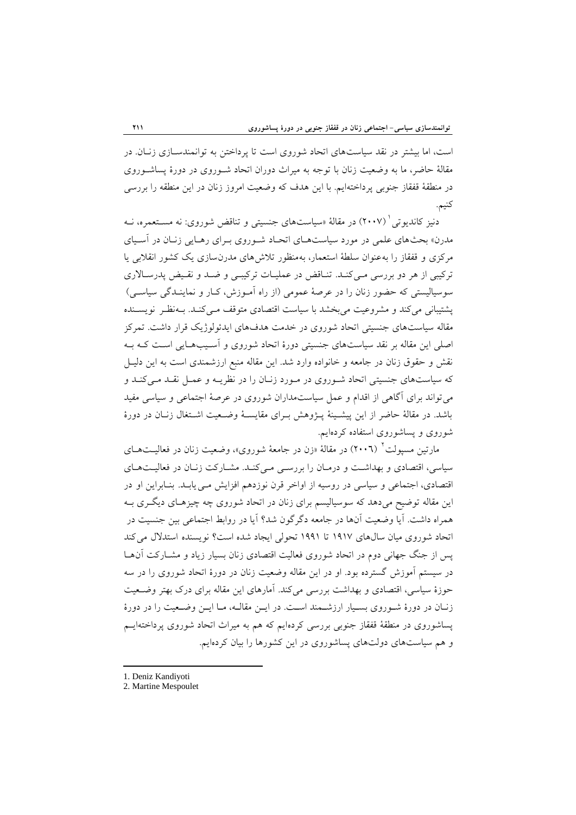است، اما بیشتر در نقد سیاستهای اتحاد شوروی است تا پرداختن به توانمندسـازی زنـان. در مقالهٔ حاضر، ما به وضعیت زنان با توجه به میراث دوران اتحاد شـوروی در دورهٔ پساشـوروی در منطقهٔ قفقاز جنوبی پرداختهایم. با این هدف که وضعیت امروز زنان در این منطقه را بررسی كنيم.

دنیز کاندیوتی (۲۰۰۷) در مقالهٔ «سیاستهای جنسیتی و تناقض شوروی: نه مسـتعمره، نــه مدرن» بحثهای علمی در مورد سیاستهـای اتحـاد شـوروی بـرای رهـایی زنـان در آسـیای مرکزی و قفقاز را به عنوان سلطهٔ استعمار، بهمنظور تلاش۵مای مدرن سازی یک کشور انقلابی یا ترکیبی از هر دو بررسی می کنـد. تنـاقض در عملیـات ترکیبـی و ضـد و نقـیض پدرسـالاری سوسیالیستی که حضور زنان را در عرصهٔ عمومی (از راه آمـوزش، کـار و نماینــدگی سیاســی) پشتيباني مي كند و مشروعيت مي بخشد با سياست اقتصادي متوقف مـي كنـد. بـهنظـر نويسـنده مقاله سیاستهای جنسیتی اتحاد شوروی در خدمت هدفهای ایدئولوژیک قرار داشت. تمرکز اصلي اين مقاله بر نقد سياستهاي جنسيتي دورهٔ اتحاد شوروي و اسـيبهـايي اسـت كـه بـه نقش و حقوق زنان در جامعه و خانواده وارد شد. این مقاله منبع ارزشمندی است به این دلیـل که سیاستهای جنسیتی اتحاد شوروی در مورد زنبان را در نظریـه و عمـل نقـد مـیکنـد و می تواند برای آگاهی از اقدام و عمل سیاستمداران شوروی در عرصهٔ اجتماعی و سیاسی مفید باشد. در مقالهٔ حاضر از این پیشـینهٔ پـژوهش بـرای مقایسـهٔ وضـعیت اشـتغال زنـان در دورهٔ شوروی و پساشوروی استفاده کردهایم.

مارتین مسپولت<sup>؟</sup> (٢٠٠٦) در مقالهٔ «زن در جامعهٔ شوروی»، وضعیت زنان در فعالیــتهــای سیاسی، اقتصادی و بهداشت و درمان را بررسی میکند. مشارکت زنبان در فعالیتهای اقتصادی، اجتماعی و سیاسی در روسیه از اواخر قرن نوزدهم افزایش مـی یابـد. بنـابراین او در این مقاله توضیح میدهد که سوسیالیسم برای زنان در اتحاد شوروی چه چیزهـای دیگـری بـه همراه داشت. آيا وضعيت آنها در جامعه دگرگون شد؟ آيا در روابط اجتماعي بين جنسيت در اتحاد شوروي ميان سال هاي ١٩١٧ تا ١٩٩١ تحولي ايجاد شده است؟ نويسنده استدلال مي كند پس از جنگ جهانی دوم در اتحاد شوروی فعالیت اقتصادی زنان بسیار زیاد و مشـارکت آنهـا در سیستم آموزش گسترده بود. او در این مقاله وضعیت زنان در دورهٔ اتحاد شوروی را در سه حوزهٔ سیاسی، اقتصادی و بهداشت بررسی می کند. آمارهای این مقاله برای درک بهتر وضـعیت زنبان در دورهٔ شـوروی بسـیار ارزشـمند اسـت. در ایـن مقالـه، مـا ایـن وضـعیت را در دورهٔ پساشوروی در منطقهٔ قفقاز جنوبی بررسی کردهایم که هم به میراث اتحاد شوروی پرداختهایــم و هم سیاستهای دولتهای پساشوروی در این کشورها را بیان کردهایم.

<sup>1.</sup> Deniz Kandiyoti

<sup>2.</sup> Martine Mespoulet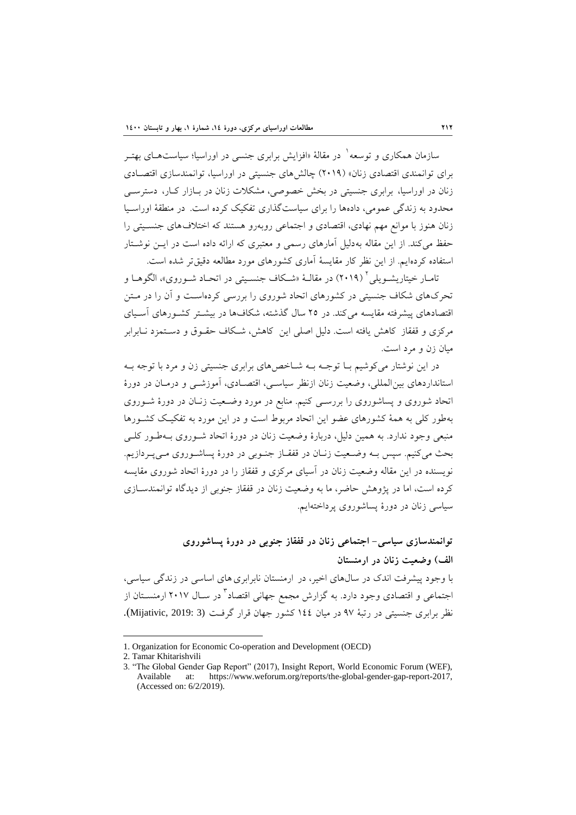سازمان همکاری و توسعه` در مقالهٔ «افزایش برابری جنسی در اوراسیا؛ سیاستهــای بهتــر برای توانمندی اقتصادی زنان» (٢٠١٩) چالشهای جنسیتی در اوراسیا، توانمندسازی اقتصادی زنان در اوراسیا، برابری جنسیتی در بخش خصوصی، مشکلات زنان در بـازار کـار، دسترســی محدود به زندگی عمومی، دادهها را برای سیاستگذاری تفکیک کرده است. در منطقهٔ اوراسیا زنان هنوز با موانع مهم نهادي، اقتصادي و اجتماعي روبهرو هستند كه اختلاف هاي جنسـيتي را حفظ می کند. از این مقاله بهدلیل آمارهای رسمی و معتبری که ارائه داده است در ایــن نوشــتار استفاده کردهایم. از این نظر کار مقایسهٔ آماری کشورهای مورد مطالعه دقیقتر شده است.

تامـار خيتاريشــويلي' (٢٠١٩) در مقالــهٔ «شــكاف جنســيتي در اتحــاد شــوروى»، الگوهــا و تحرکهای شکاف جنسیتی در کشورهای اتحاد شوروی را بررسی کردهاست و آن را در مـتن اقتصادهای پیشرفته مقایسه می كند. در ٢٥ سال گذشته، شكافها در بیشــتر كشــورهای آســیای مرکزی و قفقاز کاهش یافته است. دُلیل اصلی این کاهش، شـکاف حقـوق و دسـتمزد نــابرابر میان زن و مرد است.

در این نوشتار می کوشیم بـا توجـه بـه شـاخص۵مای برابری جنسیتی زن و مرد با توجه بـه استانداردهای بین المللی، وضعیت زنان ازنظر سیاسی، اقتصـادی، آموزشـی و درمـان در دورهٔ اتحاد شوروی و پساشوروی را بررسبی کنیم. منابع در مورد وضـعیت زنـان در دورهٔ شـوروی بهطور كلّى به همهٔ كشورهاى عضو اين اتحاد مربوط است و در اين مورد به تفكيـك كشـورها منبعی وجود ندارد. به همین دلیل، دربارهٔ وضعیت زنان در دورهٔ اتحاد شـوروی بـهطـور کلـی بحث می کنیم. سپس بـه وضـعیت زنـان در قفقـاز جنـوبی در دورهٔ پساشـوروی مـیپـردازیم. نویسنده در این مقاله وضعیت زنان در آسیای مرکزی و قفقاز را در دورهٔ اتحاد شوروی مقایسه كرده است، اما در پژوهش حاضر، ما به وضعيت زنان در قفقاز جنوبي از ديدگاه توانمندسـازي سیاسی زنان در دورهٔ پساشوروی پرداختهایم.

**توانمندسازي سياسی- اجتماعی زنان در قفقاز جنوبی در دورة پساضوروي الف( وضعيت زنان در ارمنستان**  با وجود پیشرفت اندک در سالهای اخیر، در ارمنستان نابرابری های اساسی در زندگی سیاسی، جتماعی و اقتصادی وجود دارد. به گزارش مجمع جهانی اقتصاد<sup>۲</sup> در سـال ۲۰۱۷ ارمنســتان از نظر برابري جنسيتي در رتبهٔ ٩٧ در ميان ١٤٤ كشور جهان قرار گرفت (3 :Mijativic, 2019).

<sup>1.</sup> Organization for Economic Co-operation and Development (OECD)

<sup>2.</sup> Tamar Khitarishvili

<sup>3. &</sup>quot;The Global Gender Gap Report" (2017), Insight Report, World Economic Forum (WEF), Available at: https://www.weforum.org/reports/the-global-gender-gap-report-2017, (Accessed on: 6/2/2019).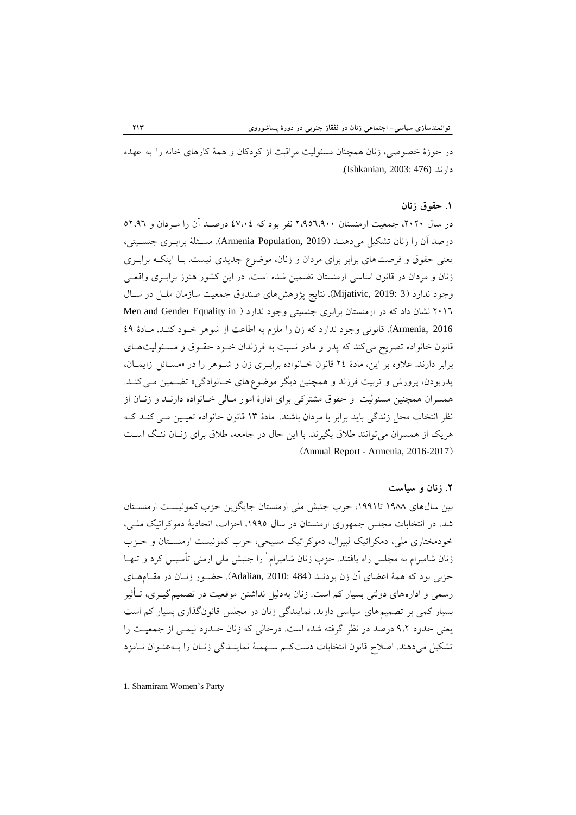در حوزهٔ خصوصی، زنان همچنان مسئولیت مراقبت از کودکان و همهٔ کارهای خانه را به عهده زاض٘س (476 2003: ,Ishkanian(.

### **.4 حقوق زنان**

در سال ۲۰۲۰، جمعیت ارمنستان ۲٬۹۵٦٬۹۰۰ نفر بود که ٤۷،۰٤ درصـد آن را مـردان و ٥٢،٩٦ درصد آن را زنان تشكيل مي دهنـد (Armenia Population, 2019). مسـئلهٔ برابـرى جنسـيتي، يعني حقوق و فرصت هاي برابر براي مردان و زنان، موضوع جديدي نيست. بـا اينكـه برابـري زنان و مردان در قانون اساسی ارمنستان تضمین شده است، در این کشور هنوز برابـری واقعـی وجود ندارد (3 :Mijativic, 2019). نتايج پژوهشهای صندوق جمعيت سازمان ملـل در سـال ٢٠١٦ نشان داد كه در ارمنستان برابري جنسيتي وجود ندارد ( Men and Gender Equality in 2016 ,Armenia). قانوني وجود ندارد كه زن را ملزم به اطاعت از شوهر خـود كنـد. مـادهٔ ٤٩ قانون خانواده تصریح می کند که پدر و مادر نسبت به فرزندان خـود حقـوق و مسـئولیتهـای برابر دارند. علاوه بر این، مادهٔ ٢٤ قانون خـانواده برابـری زن و شـوهر را در «مسـائل زایمـان، پدربودن، پرورش و تربیت فرزند و همچنین دیگر موضوع های خـانوادگی» تضـمین مـی کنـد. همسران همچنین مسئولیت و حقوق مشترکی برای ادارهٔ امور مـالی خـانواده دارنـد و زنـان از نظر انتخاب محل زندگی باید برابر با مردان باشند. مادهٔ ۱۳ قانون خانواده تعیـین مـی کنـد کـه هريک از همسران مي توانند طلاق بگيرند. با اين حال در جامعه، طلاق براي زنـان ننـگ اسـت .)Annual Report - Armenia, 2016-2017(

#### **.3 زنان و سياست**

بین سالهای ۱۹۸۸ تا۱۹۹۱، حزب جنبش ملی ارمنستان جایگزین حزب کمونیست ارمنسـتان شد. در انتخابات مجلس جمهوری ارمنستان در سال ١٩٩٥، احزاب، اتحادیهٔ دموکراتیک ملبی، خودمختاری ملی، دمکراتیک لبیرال، دموکراتیک مسیحی، حزب کمونیست ارمنسـتان و حـزب زنان شامیرام به مجلس راه یافتند. حزب زنان شامیرام` را جنبش ملی ارمنی تأسیس کرد و تنهـا حزبي بود كه همهٔ اعضاي آن زن بودنـد (Adalian, 2010: 484). حضـور زنـان در مقـامهـاي رسمي و ادارههاي دولتي بسيار كم است. زِنان به دليل نداشتن موقعيت در تصميم گيــري، تــأثير بسیار کمی بر تصمیم های سیاسی دارند. نمایندگی زنان در مجلس قانونگذاری بسیار کم است یعنی حدود ۹،۲ درصد در نظر گرفته شده است. درحالی که زنان حـدود نیمـی از جمعیـت را تشكيل مى دهند. اصلاح قانون انتخابات دستكم سـهميهٔ نماينـدگي زنـان را بـهعنـوان نـامزد

1. Shamiram Women"s Party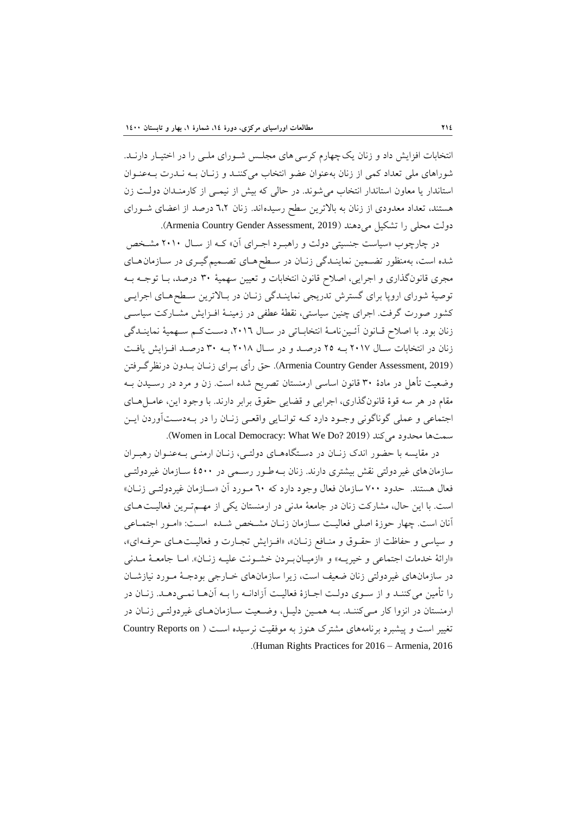انتخابات افزایش داد و زنان یک چهارم کرسی های مجلس شـورای ملـی را در اختیـار دارنـد. شوراهای ملی تعداد کمی از زنان به عنوان عضو انتخاب میکننـد و زنـان بـه نـدرت بـهعنـوان استاندار یا معاون استاندار انتخاب می شوند. در حالی که بیش از نیمـی از کارمنـدان دولـت زِن هستند، تعداد معدودی از زنان به بالاترین سطح رسیدهاند. زنان ٦،٢ درصد از اعضای شورای دولت محلي را تشكيل مي دهند (Armenia Country Gender Assessment, 2019).

در چارچوب «سیاست جنسیتی دولت و راهبرد اجـرای آن» کـه از سـال ۲۰۱۰ مشـخص شده است، بهمنظور تضمین نماینـدگی زنـان در سـطح هـای تصـمیم گیـری در سـازمان هـای مجری قانونگذاری و اجرایی، اصلاح قانون انتخابات و تعیین سهمیهٔ ۳۰ درصد، بـا توجـه بـه توصيهٔ شوراي اروپا براي گسترش تدريجي نماينـدگي زنـان در بـالاترين سـطحهـاي اجرايـي كشور صورت گرفت. اجراى چنين سياستى، نقطهٔ عطفى در زمينـهٔ افـزايش مشـاركت سياســى زنان بود. با اصلاح قـانون آئـين نامـهٔ انتخابـاتي در سـال ٢٠١٦، دسـت كـم سـهميهٔ نماينـدگي زنان در انتخابات سال ٢٠١٧ بـه ٢٥ درصـد و در سـال ٢٠١٨ بـه ٣٠ درصـد افـزايش يافـت (2019 ,Armenia Country Gender Assessment). حق رأى بـراي زنـان بـدون درنظر گـرفتن وضعیت تأُهل در مادهٔ ۳۰ قانون اساسی ارمنستان تصریح شده است. زن و مرد در رسـیدن بــه مقام در هر سه قوهٔ قانونگذاري، اجرايي و قضايي حقوق برابر دارند. با وجود اين، عامـلهـاي اجتماعي و عملي گوناگوني وجـود دارد کـه توانـايي واقعـي زنـان را در بـهدسـتآوردن ايـن سمت ها محدود می کند (Women in Local Democracy: What We Do? 2019).

در مقايسه با حضور اندك زنان در دستگاههاي دولتي، زنان ارمني بـهعنـوان رهبـران سازمانِ های غیرِ دولتی نقش بیشتری دارند. زنان بـه طـور رسـمی در ٤٥٠٠ سـازمان غیردولتـی فعال هستند. حدود ٧٠٠ سازمان فعال وجود دارد که ٦٠ مـورد آن «سـازمان غيردولتـي زنـان» است. با این حال، مشارکت زنان در جامعهٔ مدنی در ارمنستان یکی از مهم تـرین فعالیـت هـای آنان است. چهار حوزهٔ اصلی فعالیت سـازمان زنـان مشـخص شـده اسـت: «امـور اجتمـاعی و سياسي و حفاظت از حقـوق و منـافع زنـان»، «افـزايش تجـارت و فعاليـتهـاي حرفـه اي»، «ارائهٔ خدمات اجتماعی و خیریـه» و «ازمیـانبـردن خشـونت علیـه زنـان». امـا جامعـهٔ مـدنی در سازمانهای غیردولتی زنان ضعیف است، زیرا سازمانهای خـارجی بودجـهٔ مـورد نیازشـان را تأمین می کننـد و از سـوی دولـت اجــازهٔ فعالیـت آزادانــه را بــه آن هــا نمــی دهــد. زنــان در ارمنستان در انزوا کار می کننـد. بـه همـین دلیـل، وضـعیت سـازمان هـای غیردولتـی زنـان در تغيير است و پيشبرد برنامههاى مشترك هنوز به موفقيت نرسيده است ( Country Reports on .)Human Rights Practices for 2016 – Armenia, 2016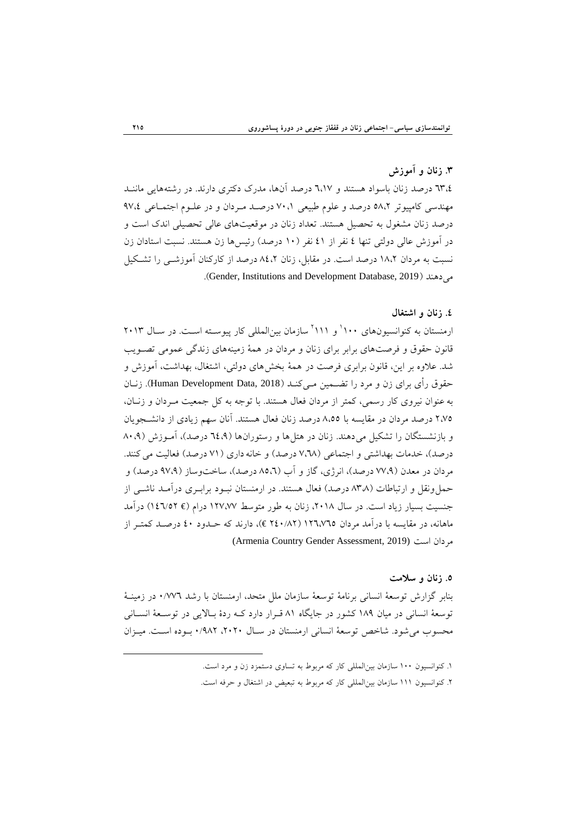# **.2 زنان و آموزش**

7٣،٤ درصد زنان باسواد هستند و ٦،١٧ درصد آنها، مدرک دکتری دارند. در رشتههایی ماننـد مهندسی کامپیوتر ٥٨،٢ درصد و علوم طبیعی ٧٠،١ درصـد مـردان و در علـوم اجتمـاعی ٩٧،٤ درصد زنان مشغول به تحصیل هستند. تعداد زنان در موقعیتهای عالی تحصیلی اندک است و در آموزش عالی دولتی تنها ٤ نفر از ٤١ نفر (١٠ درصد) رئیسها زن هستند. نسبت استادان زن نسبت به مردان ١٨،٢ درصد است. در مقابل، زنان ٨٤،٢ درصد از كاركنان آموزشــي را تشــكيل می دهند (Gender, Institutions and Development Database, 2019).

## **.1 زنان و اضتغال**

رمنستان به کنوانسیونهای ۱۰۰<sup>۰ ا</sup>و ۱۱۱<sup>۱</sup> سازمان بین|لمللی کار پیوسـته اسـت. در سـال ۲۰۱۳ قانون حقوق و فرصتهای برابر برای زنان و مردان در همهٔ زمینههای زندگی عمومی تصـویب شد. علاوه بر این، قانون برابری فرصت در همهٔ بخشهای دولتی، اشتغال، بهداشت، آموزش و حقوق رأى براى زن و مرد را تضــمين مــىکنــد (Human Development Data, 2018). زنــان به عنوان نیروی کار رسمی، کمتر از مردان فعال هستند. با توجه به کل جمعیت مـردان و زنــان، ٢،٧٥ درصد مردان در مقايسه با ٨،٥٥ درصد زنان فعال هستند. آنان سهم زيادي از دانشـجويان و بازنشستگان را تشكيل مى دهند. زنان در هتل ها و رستورانها (٦٤،٩ درصد)، آمـوزش (٨٠،٩ درصد)، خدمات بهداشتی و اجتماعی (٧،٦٨ درصد) و خانه داری (٧١ درصد) فعالیت می کنند. مردان در معدن (٧٧،٩ درصد)، انرژي، گاز و آب (٥،٦ درصد)، ساختوساز (٩٧،٩ درصد) و حُمل ونقل و ارتباطات (٨٣٨ درصد) فعال هستند. در ارمنستان نبـود برابـري درآمـد ناشـي از جنسیت بسیار زیاد است. در سال ۲۰۱۸، زنان به طور متوسط ۱۲۷،۷۷ درام (€ ۱٤٦/٥٢) درآمد ماهانه، در مقایسه با درآمد مردان ۱۲٦،۷٦٥ (۲٤٠/۸۲ €)، دارند که حـدود ٤٠ درصـد کمتـر از (Armenia Country Gender Assessment, 2019) اؾت ٖطزأ

### **.2 زنان و سالمت**

بنابر گزارش توسعهٔ انسانی برنامهٔ توسعهٔ سازمان ملل متحد، ارمنستان با رشد ۰/۷۷٦ در زمینـهٔ توسعهٔ انسانی در میان ١٨٩ کشور در جایگاه ٨١ قـرار دارد کـه ردهٔ بـالایی در توسـعهٔ انسـانی محسوب می شود. شاخص توسعهٔ انسانی ارمنستان در سـال ۲۰۲۰، ۹۸۲ بـوده اسـت. میـزان

۱. کنوانسیون ۱۰۰ سازمان بین(لمللی کار که مربوط به تساوی دستمزد زن و مرد است.

۲. کنوانسیون ۱۱۱ سازمان بین|لمللی کار که مربوط به تبعیض در اشتغال و حرفه است.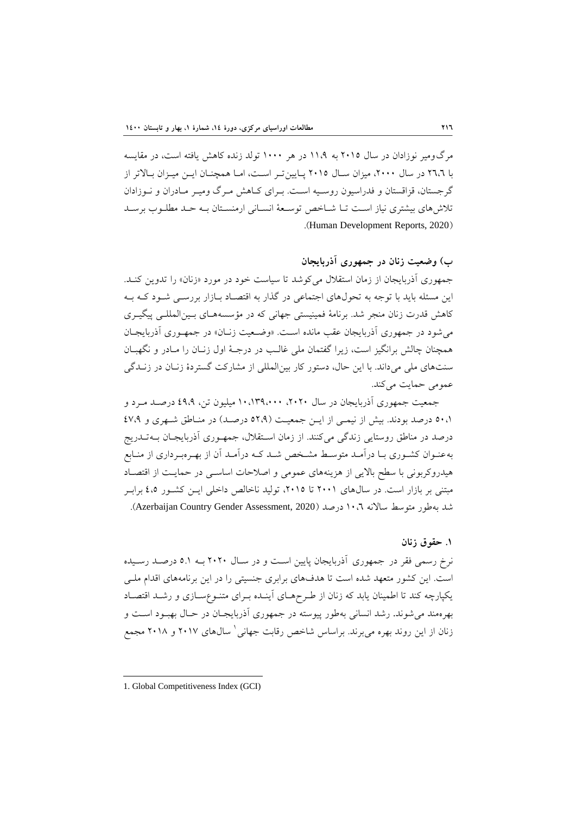مرِ گ1ومير نوزادان در سال ٢٠١٥ به ١١،٩ در هر ١٠٠٠ تولد زنده كاهش يافته است، در مقايسه با ٢٦،٦ در سال ٢٠٠٠، ميزان سـال ٢٠١٥ پـايين تـر اسـت، امـا همچنـان ايـن ميـزان بـالاتر از گرجستان، قزاقستان و فدراسیون روسیه است. بـرای کـاهش مـرگ ومیـر مـادران و نـوزادان تلاش هاى بيشترى نياز است تـا شـاخص توسـعة انسـاني ارمنسـتان بـه حـد مطلـوب برسـد .(Human Development Reports, 2020)

**ب( وضعيت زنان در جمهوري آذربایجان**

جمهوری آذربایجان از زمان استقلال می کوشد تا سیاست خود در مورد «زنان» را تدوین کنـد. این مسئله باید با توجه به تحولهای اجتماعی در گذار به اقتصـاد بـازار بررسـی شـود کـه بـه كاهش قدرت زنان منجر شد. برنامهٔ فمینیستی جهانی كه در مؤسسههـای بـینالمللـی پیگیـری می شود در جمهوری آذربایجان عقب مانده است. «وضـعیت زنـان» در جمهـوری آذربایجـان همچنان چالش برانگیز است، زیرا گفتمان ملی غالب در درجـهٔ اول زنـان را مـادر و نگهبـان سنتهای ملی میداند. با این حال، دستور کار بین المللی از مشارکت گستردهٔ زنـان در زنــدگی عمومي حمايت مي كند.

جمعیت جمهوری آذربایجان در سال ۲۰۲۰، ۱۰،۱۳۹،۰۰۰ میلیوِن تن، ٤٩،۹ درصـد مـرد و 60،1 درصد بودند. بیش از نیمبی از ایـن جمعیـت (٥٢،٩ درصـد) در منـاطق شـهری و ٤٧،٩ درصد در مناطق روستایی زندگی میکنند. از زمان استقلال، جمهوری آذربایجان بـهتـدریج به عنـوان كشـوري بـا درآمـد متوسـط مشـخص شـد كـه درآمـد آن از بهـرهبـرداري از منـابع هیدروکربونی با سطح بالایی از هزینههای عمومی و اصلاحات اساسبی در حمایت از اقتصـاد مبتنی بر بازار است. در سالهای ۲۰۰۱ تا ۲۰۱۵، تولید ناخالص داخلی ایـن کشـور ٤،٥ برابـر شد به طور متوسط سالانه ۱۰.۲ درصد (Azerbaijan Country Gender Assessment, 2020).

### **.4 حقوق زنان**

نرخ رسمی فقر در جمهوری آذربایجان پایین است و در سـال ۲۰۲۰ بـه ۵.۱ درصـد رسـیده است. این کشور متعهد شده است تا هدفهای برابری جنسیتی را در این برنامههای اقدام ملـی یکپارچه کند تا اطمینان یابد که زنان از طـرحهـای اَینـده بـرای متنـوعسـازی و رشـد اقتصـاد بهرهمند می شوند. رشد انسانی بهطور پیوسته در جمهوری آذربایجـان در حـال بهبـود اسـت و زنان از این روند بهره میبرند. براساس شاخص رقابت جهانی ` سال&ای ۲۰۱۷ و ۲۰۱۸ مجمع

<sup>1.</sup> Global Competitiveness Index (GCI)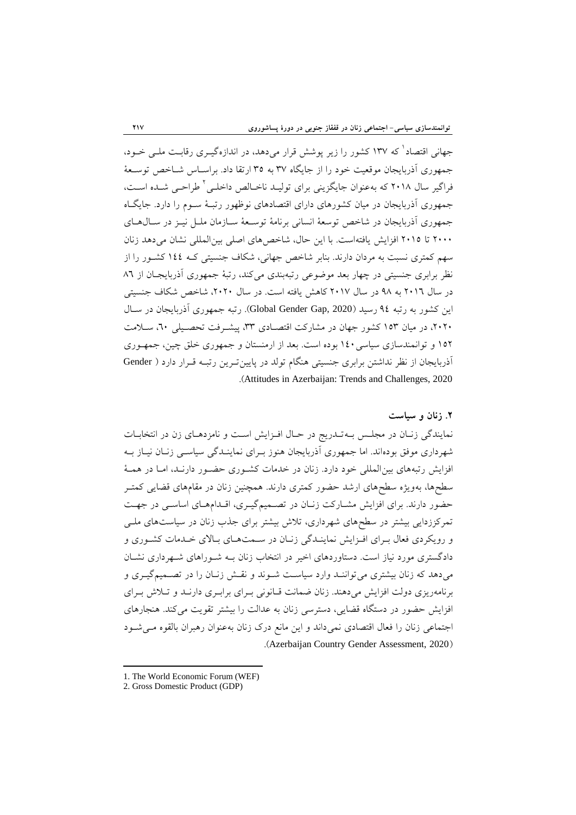جهانی اقتصاد که ۱۳۷ کشور را زیر پوشش قرار میدهد، در اندازهگیـری رقابـت ملـی خـود، جمهوري آذربايجان موقعيت خود را از جايگاه ٣٧ به ٣٥ ارتقا داد. براســاس شــاخص توســعهٔ فراگیر سال ۲۰۱۸ که بهعنوان جایگزینی برای تولیـد ناخـالص داخلـی ٔ طراحـی شـده اسـت، جمهوری آذربایجان در میان کشورهای دارای اقتصادهای نوظهور رتبـهٔ سـوم را دارد. جایگـاه جمهوری آذربایجان در شاخص توسعهٔ انسانی برنامهٔ توسـعهٔ سـازمان ملـل نیـز در سـالهـای ٢٠٠٠ تا ٢٠١٥ افزايش يافتهاست. با اين حال، شاخص هاي اصلي بين المللي نشان مي دهد زنان سهم کمتری نسبت به مردان دارند. بنابر شاخص جهانی، شکاف جنسیتی کـه ١٤٤ کشـور را از نظر برابری جنسیتی در چهار بعد موضوعی رتبهبندی میکند، رتبهٔ جمهوری آذربایجـان از ٨٦ در سال ٢٠١٦ به ٩٨ در سال ٢٠١٧ كاهش يافته است. در سال ٢٠٢٠، شاخص شكاف جنسيتي این کشور به رتبه ۹٤ رسید (Global Gender Gap, 2020). رتبه جمهوری آذربایجان در سـال ،٢٠٢، در ميان ١٥٣ كشور جهان در مشاركت اقتصـادى ٣٣، پيشـرفت تحصـيل<sub>ى ٢</sub>٠، سـلامت ١٥٢ و توانمندسازي سياسي ١٤٠ بوده است. بعد از ارمنستان و جمهوري خلق چين، جمهـوري آذربایجان از نظر نداشتن برابری جنسیتی هنگام تولد در پایین تـرین رتبـه قـرار دارد ( Gender .)Attitudes in Azerbaijan: Trends and Challenges, 2020

## **.3 زنان و سياست**

نمایندگی زنبان در مجلس ببه تبدریج در حبال افـزایش است و نامزدهبای زن در انتخابیات شهرداري موفق بودهاند. اما جمهوري آذربايجان هنوز بـراي نماينـدگي سياسـي زنـان نيـاز بـه افزایش رتبههای بین المللی خود دارد. زنان در خدمات کشـوری حضـور دارنـد، امـا در همـهٔ سطحها، بهویژه سطحهای ارشد حضور کمتری دارند. همچنین زنان در مقامهای قضایی کمتـر حضور دارند. برای افزایش مشارکت زنان در تصمیمگیری، اقدامهای اساسی در جهت تمرکززدایی بیشتر در سطحهای شهرداری، تلاش بیشتر برای جذب زنان در سیاستهای ملـی و رویکردی فعال بـرای افـزایش نماینـدگی زنـان در سـمتهـای بـالای خـدمات کشـوری و دادگستری مورد نیاز است. دستاوردهای اخیر در انتخاب زنان بـه شـوراهای شـهرداری نشـان میدهد که زنان بیشتری می تواننـد وارد سیاسـت شـوند و نقـش زنـان را در تصـمیمگیـری و برنامهریزی دولت افزایش می دهند. زِنان ضمانت قبانونی بـرای برابـری دارنـد و تـلاش بـرای افزایش حضور در دستگاه قضایی، دسترسی زنان به عدالت را بیشتر تقویت می کند. هنجارهای اجتماعی زنان را فعال اقتصادی نمیداند و این مانع درک زنان بهعنوان رهبران بالقوه مـیشـود .(Azerbaijan Country Gender Assessment, 2020)

<sup>1.</sup> The World Economic Forum (WEF)

<sup>2.</sup> Gross Domestic Product (GDP)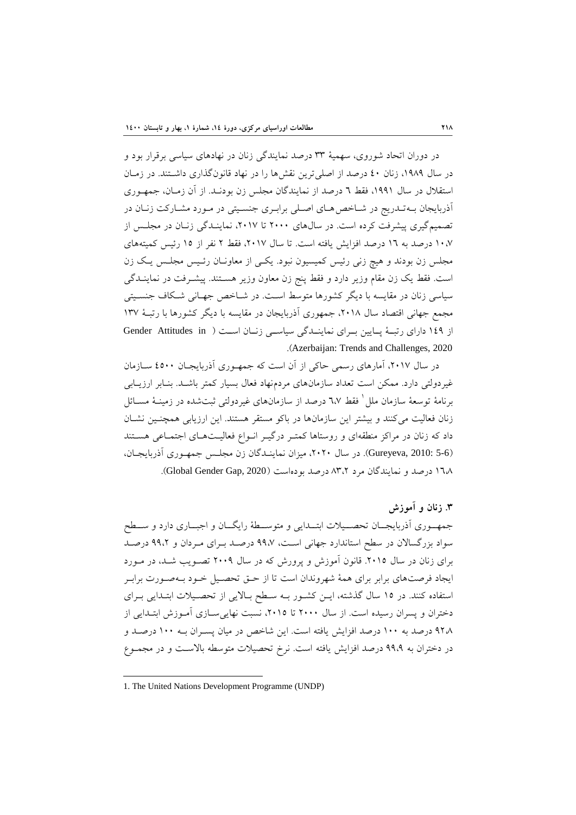در دوران اتحاد شوروي، سهميهٔ ٣٣ درصد نمايندگي زنان در نهادهاي سياسي برقرار بود و در سال ۱۹۸۹، زنان ٤٠ درصد از اصلی ترین نقشها را در نهاد قانونگذاری داشتند. در زمـان استقلال در سال ۱۹۹۱، فقط ٦ درصد از نمایندگان مجلس زن بودنـد. از آن زمـان، جمهـوری آذربایجان بـهتـدریج در شـاخص هـای اصـلی برابـری جنسـیتی در مـورد مشـارکت زنـان در تصمیم گیری پیشرفت کرده است. در سالهای ۲۰۰۰ تا ۲۰۱۷، نماینـدگی زنـان در مجلـس از ١٠،٧ درصد به ١٦ درصد افزايش يافته است. تا سال ٢٠١٧، فقط ٢ نفر از ١٥ رئيس كميتههاى مجلس زن بودند و هیچ زنی رئیس کمیسیون نبود. یکی از معاونـان رئـیس مجلـس یـک زن است. فقط یک زن مقام وزیر دارد و فقط پنج زن معاون وزیر هسـتند. پیشـرفت در نماینــدگی سیاسی زنان در مقایسه با دیگر کشورها متوسط است. در شـاخص جهـانی شـکاف جنسـیتی مجمع جهانی اقتصاد سال ٢٠١٨، جمهوری آذربایجان در مقایسه با دیگر کشورها با رتبـهٔ ١٣٧ از ١٤٩ داراي رتبـهٔ پـايين بـراي نماينـدگي سياسـي زنـان اسـت ( Gender Attitudes in .)Azerbaijan: Trends and Challenges, 2020

در سال ۲۰۱۷، آمارهای رسمی حاکی از آن است که جمهـوری آذربایجـان ٤٥٠٠ سـازمان غیرِدولتی دارد. ممکن است تعداد سازمانهای مردمِنهاد فعال بسیار کمتر باشـد. بنـابر ارزیـابی برنامهٔ توسعهٔ سازمان ملل ٰ فقط ٦،٧ درصد از سازمانهای غیردولتی ثبتشده در زمینــهٔ مســائل زنان فعالیت میکنند و بیشتر این سازمانها در باکو مستقر هستند. این ارزیابی همچنین نشـان داد که زنان در مراکز منطقهای و روستاها کمتـر درگیـر انـواع فعالیـتهـای اجتمـاعی هسـتند (5-6 Gureyeva, 2010: 5). در سال ٢٠٢٠، ميزان نماينـدگان زن مجلـس جمهـوري آذربايجـان، ١٦٨ درصد و نمايندگان مرد ٨٣،٢ درصد بودهاست (Global Gender Gap, 2020).

**.2 زنان و آموزش**

جمهه وري آذربايجــان تحصـــيلات ابتـــدايي و متوســطهٔ رايگـــان و اجبـــاري دارد و ســـطح سواد بزرگسالان در سطح استاندارد جهانی است، ۹۹،۷ درصـد بـرای مـردان و ۹۹،۲ درصـد برای زنان در سال ٢٠١٥. قانون آموزش و پرورش که در سال ٢٠٠٩ تصـویب شـد، در مـورد ايجاد فرصتهاي برابر براي همهٔ شهروندان است تا از حـق تحصـيل خـود بـهصـورت برابـر استفاده كنند. در ١٥ سال گذشته، ايـن كشـور بـه سـطح بـالايي از تحصـيلات ابتـدايي بـراي دختران و پسران رسیده است. از سال ۲۰۰۰ تا ۲۰۱۵، نسبت نهایی سـازی آمـوزش ابتـدایی از ٩٢٨ درصد به ١٠٠ درصد افزايش يافته است. اين شاخص در ميان پسـران بـه ١٠٠ درصـد و در دختران به ۹۹،۹ درصد افزایش یافته است. نرخ تحصیلات متوسطه بالاست و در مجمـوع

<sup>1.</sup> The United Nations Development Programme (UNDP)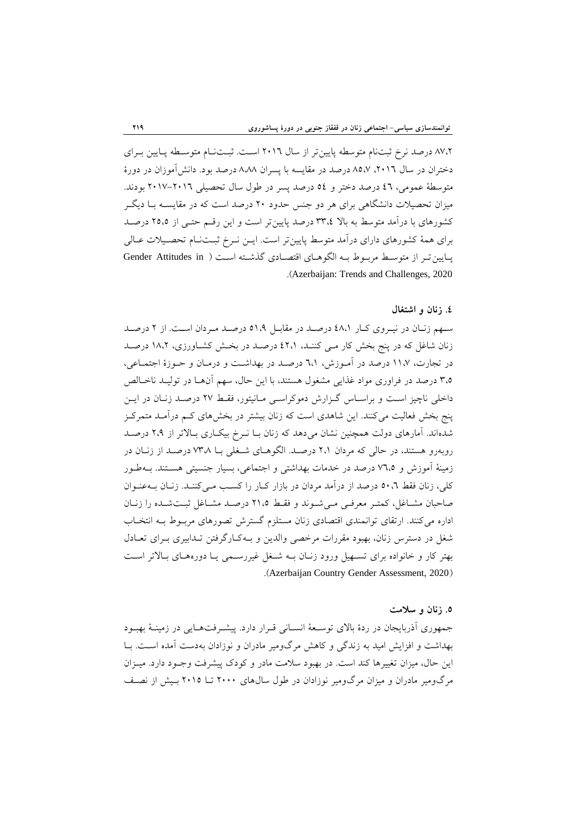88٪ درصد نرخ ثبتنام متوسطه پایین تر از سال ٢٠١٦ است. ثبــتنــام متوســطه پــایین بــرای دختران در سال ۲۰۱۲، ۸۵،۷ درصد در مقایسه با پسران ۸،۸۸ درصد بود. دانشآموزان در دورهٔ متوسطة عمومي، ٤٦ درصد دختر و ٥٤ درصد پسر در طول سال تحصيلي ٢٠١٦-٢٠١٧ بودند. میزان تحصیلات دانشگاهی برای هر دو جنس حدود ۲۰ درصد است که در مقایســه بــا دیگــر كشورهاى با درآمد متوسط به بالا ٣٣،٤ درصد پايينتر است و اين رقسم حتـى از ٢٥،٥ درصـد برای همهٔ کشورهای دارای درآمد متوسط پایین تر است. ایــن نــرخ ثبــتـنــام تحصــیلات عــالی پایین تـر از متوسـط مربـوط بـه الگوهـای اقتصـادی گذشـته اسـت ( Gender Attitudes in .)Azerbaijan: Trends and Challenges, 2020

### **.1 زنان و اضتغال**

سهم زنان در نیـروی کـار ٤٨،١ درصـد در مقابـل ٥١،٩ درصـد مـردان اسـت. از ٢ درصـد زنان شاغل که در پنج بخش کار مبی کننـد، ٤٢،١ درصـد در بخـش کشـاورزی، ١٨،٢ درصـد در تجارت، ۱۱،۷ درصد در آمـوزش، ٦،۱ درصـد در بهداشـت و درمـان و حـوزهٔ اجتمـاعی، ٣،٥ درصد در فراوري مواد غذايي مشغول هستند، با اين حال، سهم آنهـا در توليـد ناخـالص داخلی ناچیز است و براسـاس گـزارش دموکراسـی مـانیتور، فقـط ٢٧ درصـد زنـان در ایـن پنج بخش فعالیت میکنند. این شاهدی است که زنان بیشتر در بخشهای کـم درآمـد متمرکـز شدهاند. آمارهای دولت همچنین نشان میدهد که زنان بـا نــرخ بیکــاری بــالاتر از ٢،٩ درصــد روبهرو هستند، در حالی که مردان ۲،۱ درصـد. الگوهـای شـغلی بـا ۲۳۸ درصـد از زنـان در زمینهٔ آموزش و ۷٦،۵ درصد در خدمات بهداشتی و اجتماعی، بسیار جنسیتی هسـتند. بـهطـور کلی، زنان فقط ٥٠،٦ درصد از درآمد مردان در بازار کـار را کسـب مـی کننـد. زنـان بــهعنـوان صاحبان مشـاغل، كمتـر معرفـي مـي شـوند و فقـط ٢١،٥ درصـد مشـاغل ثبـتشـده را زنـان اداره می کنند. ارتقای توانمندی اقتصادی زنان مستلزم گسترش تصورهای مربـوط بـه انتخـاب شغل در دسترس زنان، بهبود مقررات مرخصی والدین و بـهکـارگرفتن تـدابیری بـرای تعـادل بهتر کار و خانواده برای تسـهیل ورود زنـان بــه شـخل غیررسـمی یــا دورههـای بـالاتر اسـت .(Azerbaijan Country Gender Assessment, 2020)

### **.2 زنان و سالمت**

جمهوری آذربایجان در ردهٔ بالای توسـعهٔ انسـانی قـرار دارد. پیشـرفتهـایی در زمینـهٔ بهبـود بهداشت و افزايش اميد به زندگي و كاهش مرگومير مادران و نوزادان بهدست آمده است. بـا این حال، میزان تغییرها کند است. در بهبود سلامت مادر و کودک پیشرفت وجـود دارد. میـزان مرِگومير مادران و ميزان مرگومير نوزادان در طول سال&اي ۲۰۰۰ تــا ۲۰۱۵ بـيش از نصـف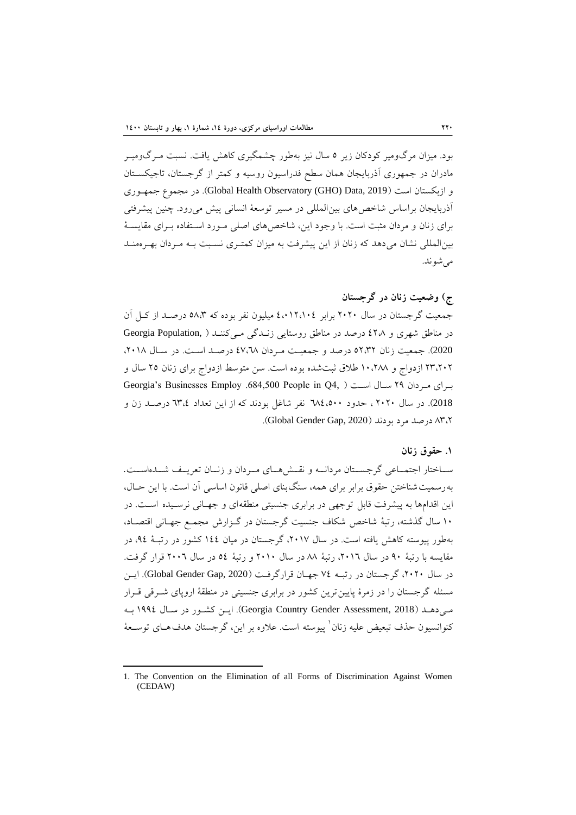بود. ميزان مرگ0ومير كودكان زير ٥ سال نيز بهطور چشمگيري كاهش يافت. نسبت مـرگ0وميـر مادران در جمهوری آذربایجان همان سطح فدراسیون روسیه و کمتر از گرجستان، تاجیکسـتان و ازبکستان است (Global Health Observatory (GHO) Data, 2019). در مجموع جمهوری آذربایجان براساس شاخصهای بین المللی در مسیر توسعهٔ انسانی پیش می رود. چنین پیشرفتی برای زنان و مردان مثبت است. با وجود این، شاخص های اصلی مـورد اسـتفاده بـرای مقایسـهٔ بین المللی نشان می دهد که زنان از این پیشرفت به میزان کمتـری نسـبت بـه مـردان بهـرهمنـد می شو ند.

# **ج( وضعيت زنان در گرجستان**

جمعیت گرجستان در سال ۲۰۲۰ برابر ٤،۰۱۲،۱۰٤ میلیون نفر بوده که ۵۸،۳ درصـد از کـل آن در مناطق شهری و ٤٢٨ درصد در مناطق روستایی زنـدگی مـیکننـد ( Georgia Population, 2020). جمعیت زنان ٥٢،٣٢ درصد و جمعیت مردان ٤٧،٦٨ درصد است. در سال ٢٠١٨، ۲۳،۲۰۲ ازدواج و ۱۰،۲۸۸ طلاق ثبتشده بوده است. سن متوسط ازدواج برای زنان ۲۵ سال و Georgia's Businesses Employ .684,500 People in Q4, ) است ( Georgia's Businesses Employ 2018). در سال ۲۰۲۰، حدود ٦٨٤،٥٠٠ نفر شاغل بودند که از این تعداد ٣،٤ درصـد زن و  $\Lambda$ ه در صله مرد بو دند (Global Gender Gap, 2020).

### **.4 حقوق زنان**

ساختار اجتمـاعي گرجســتان مردانــه و نقــشهــاي مــردان و زنــان تعريــف شــدهاســت. به رسمیت شناختن حقوق برابر برای همه، سنگ بنای اصلی قانون اساسی آن است. با این حـال، این اقدامها به پیشرفت قابل توجهی در برابری جنسیتی منطقهای و جهـانی نرسـیده اسـت. در ١٠ سال گذشته، رتبهٔ شاخص شکاف جنسیت گرجستان در گـزارش مجمـع جهـانی اقتصـاد، به طور پیوسته کاهش پافته است. در سال ٢٠١٧، گرجستان در میان ١٤٤ کشور در رتبـهٔ ٩٤، در مقايسه با رتبهٔ ٩٠ در سال ٢٠١٦، رتبهٔ ٨٨ در سال ٢٠١٠ و رتبهٔ ٥٤ در سال ٢٠٠٦ قرار گرفت. در سال ۲۰۲۰، گرجستان در رتبـه ۷٤ جهـان قرارگرفت (Global Gender Gap, 2020). ايـن مسئله گرجستان را در زمرهٔ پایین ترین کشور در برابری جنسیتی در منطقهٔ اروپای شـرقی قـرار مبی دهــد (3018 Georgia Country Gender Assessment, 2018). ایــن کشــور در ســال ١٩٩٤ بــه کنوانسیون حذف تبعیض علیه زنان<sup>\</sup> پیوسته است. علاوه بر این، گرجستان هدف۵حای توسـعهٔ

<sup>1</sup> 1. The Convention on the Elimination of all Forms of Discrimination Against Women (CEDAW)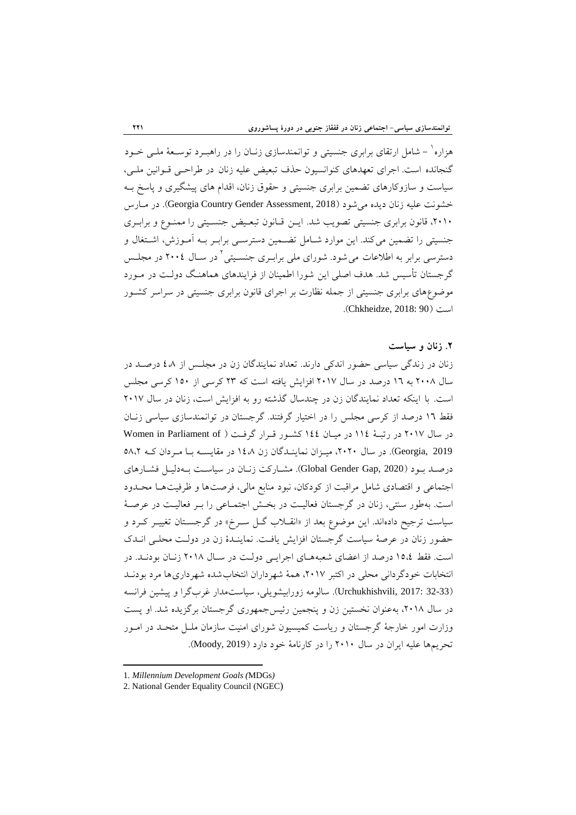هزاره` – شامل ارتقای برابری جنسیتی و توانمندسازی زنـان را در راهبــرد توســعهٔ ملــی خــود گنجانده است. اجرای تعهدهای کنوانسیون حذف تبعیض علیه زنان در طراحبی قـوانین ملـی، سیاست و سازوکارهای تضمین برابری جنسیتی و حقوق زنان، اقدام های پیشگیری و پاسخ بـه خشونت عليه زنان ديده مي شود (Georgia Country Gender Assessment, 2018). در مارس ،٢٠١٠، قانون برابری جنسیتی تصویب شد. ایـن قـانون تبعـیض جنسـیتی را ممنـوع و برابـری جنسیتی را تضمین می کند. این موارد شـامل تضـمین دسترسـی برابـر بـه آمـوزش، اشـتغال و دسترسی برابر به اطلاعات می شود. شورای ملی برابـری جنسـیتی <sup>۱</sup> در سـال ۲۰۰٤ در مجلـس گرجستان تأسیس شد. هدف اصلی این شورا اطمینان از فرایندهای هماهنگ دولت در مـورد موضوعِهاي برابري جنسيتي از جمله نظارت بر اجراي قانون برابري جنسيتي در سراسر كشـور اؾت )90 2018: ,Chkheidze).

## **.3 زنان و سياست**

زنان در زندگی سیاسی حضور اندکی دارند. تعداد نمایندگان زن در مجلـس از ٤٨ درصـد در سال ۲۰۰۸ به ۱۲ درصد در سال ۲۰۱۷ افزایش یافته است که ۲۳ کرسی از ۱۵۰ کرسی مجلس است. با اینکه تعداد نمایندگان زن در چندسال گذشته رو به افزایش است، زنان در سال ۲۰۱۷ فقط ١٦ درصد از كرسي مجلس را در اختيار گرفتند. گرجستان در توانمندسازی سياسي زنان در سال ٢٠١٧ در رتبـهٔ ١١٤ در ميـان ١٤٤ كشـور قـرار گرفـت ( Women in Parliament of 600gia, 2019). در سال ٢٠٢٠، ميزان نماينـدگان زن ١٤،٨ در مقايســه بـا مـردان كــه ٥٨،٢ درصـد بـود (Global Gender Gap, 2020). مشـاركت زنـان در سياسـت بـهدليـل فشـارهاي اجتماعی و اقتصادی شامل مراقبت از کودکان، نبود منابع مالی، فرصتها و ظرفیتها محـدود است. بهطور سنتی، زنان در گرجستان فعالیت در بخش اجتمـاعی را بــر فعالیــت در عرصــهٔ سیاست ترجیح دادهاند. این موضوع بعد از «انقــلاب گــل ســرخ» در گرجســتان تغییــر کــرد و حضور زنان در عرصهٔ سیاست گرجستان افزایش یافت. نماینـدهٔ زن در دولـت محلـی انـدک است. فقط ١٥،٤ درصد از اعضاى شعبههـاى اجرايـي دولـت در سـال ٢٠١٨ زنـان بودنـد. در انتخابات خودگردانی محلی در اکتبر ٢٠١٧، همهٔ شهرداران انتخاب شده شهرداریها مرد بودنـد (32-33 .Urchukhishvili, 2017). سالومه زورابیشویلی، سیاستمدار غربگرا و پیشین فرانسه در سال ٢٠١٨، به عنوان نخستین زن و پنجمین رئیس جمهوری گرجستان برگزیده شد. او پست وزارت امور خارجهٔ گرجستان و ریاست کمیسیون شورای امنیت سازمان ملـل متحـد در امـور تحريمها عليه ايران در سال ٢٠١٠ را در كارنامهٔ خود دارد (Moody, 2019).

<sup>1.</sup> *Millennium Development Goals (*MDGs*)*

<sup>2.</sup> National Gender Equality Council (NGEC)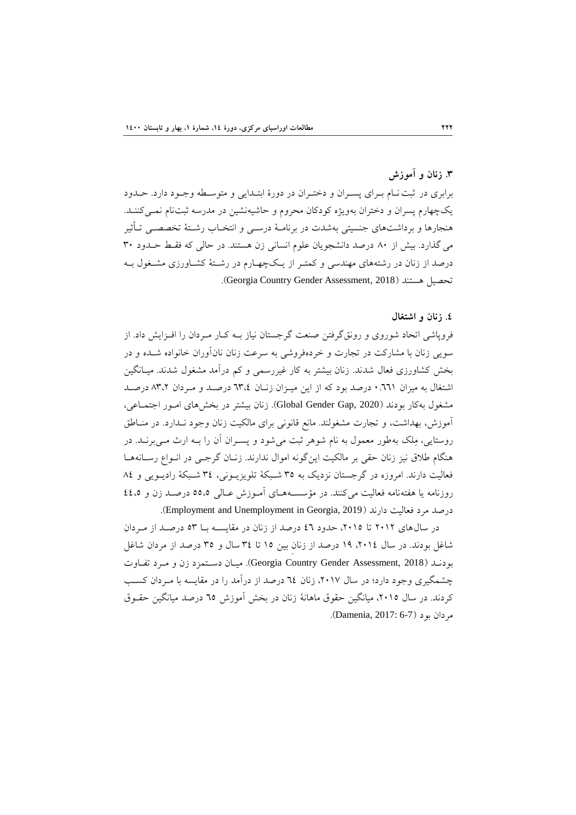# **.2 زنان و آموزش**

برابری در ثبت نـام بـرای پسـران و دختـران در دورهٔ ابتـدایی و متوسـطه وجـود دارد. حــدود یکچهارم پسران و دختران بهویژه کودکان محروم و حاشیهنشین در مدرسه ثبتنام نمـیکننـد. هنجارها و برداشتهای جنسیتی بهشدت در برنامـهٔ درسـی و انتخـاب رشـتهٔ تخصصـی تـأثیر می گذارد. بیش از ٨٠ درصد دانشجویان علوم انسانی زن هستند. در حالی که فقط حـدود ٣٠ درصد از زنان در رشتههای مهندسی و کمتـر از یـک\$چهـارم در رشـتهٔ کشـاورزی مشـغول بـه .(Georgia Country Gender Assessment, 2018).

#### **.1 زنان و اضتغال**

فروپاشی اتحاد شوروی و رونق گرفتن صنعت گرجستان نیاز بـه كـار مـردان را افـزایش داد. از سویی زنان با مشارکت در تجارت و خردهفروشی به سرعت زنان نانآوران خانواده شـده و در بخش كشاورزى فعال شدند. زنان بيشتر به كار غيررسمي و كم درآمد مشغول شدند. ميـانگين اشتغال به میزان ٦٦١. • درصد بود که از این میـزان زنـان ٣،٤٪ درصـد و مـردان ٨٣،٢ درصـد هشغول به كار بودند (Global Gender Gap, 2020). زنان بيشتر در بخشهاى امور اجتماعي، آموزش، بهداشت، و تجارت مشغولند. مانع قانونی برای مالکیت زنان وجود نـدارد. در منـاطق روستایی، مِلک بهطور معمول به نام شوهر ثبت می شود و پسـران آن را بــه ارث مــی برنــد. در هنگام طلاق نیز زنان حقی بر مالکیت این گونه اموال ندارند. زنـان گرجـی در انـواع رسـانههـا فعاليت دارند. امروزه در گرجستان نزديک به ٣٥ شـبکهٔ تلويزيـوني، ٣٤ شـبکهٔ راديـويي و ٨٤ روزنامه یا هفتهنامه فعالیت میکنند. در مؤسسـههـای آمـوزش عـالی ٥٥،٥ درصـد زن و ٤٤،٥ درصد مرد فعاليت دارند (Employment and Unemployment in Georgia, 2019).

در سالهای ٢٠١٢ تا ٢٠١٥، حدود ٤٦ درصد از زنان در مقایسـه بـا ٥٣ درصـد از مـردان شاغل بوِدند. در سال ٢٠١٤، ١٩ درصد از زنان بين ١٥ تا ٣٤ سال و ٣٥ درصد از مردان شاغل بودند (Georgia Country Gender Assessment, 2018). ميـان دسـتمزد زن و مـرد تفـاوت چشمگیری وجود دارد؛ در سال ٢٠١٧، زنان ٦٤ درصد از درآمد را در مقایسه با مـردان كسـب کردند. در سال ٢٠١٥، میانگین حقوق ماهانهٔ زنان در بخش آموزش ٦٥ درصد میانگین حقـوق مردان بود (Damenia, 2017: 6-7).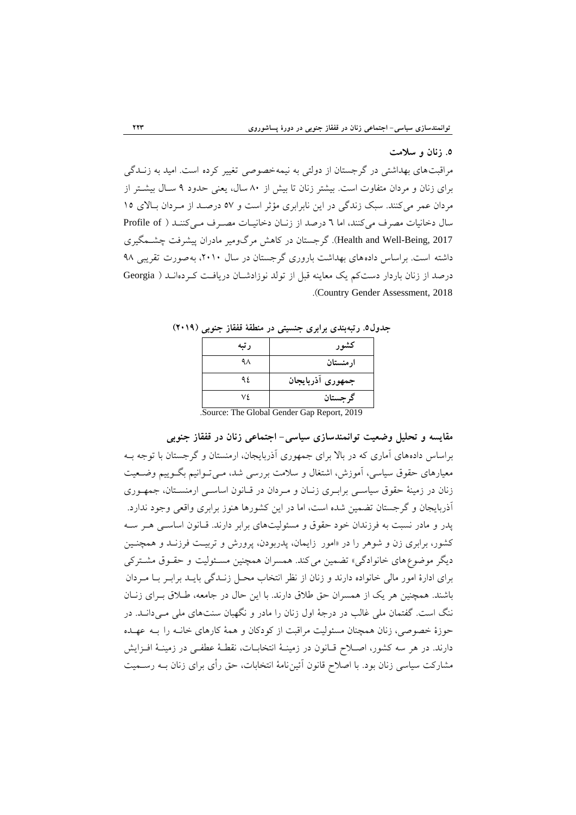### **.2 زنان و سالمت**

مراقبتهای بهداشتی در گرجستان از دولتی به نیمهخصوصی تغییر کرده است. امید به زنــدگی برای زنان و مردان متفاوت است. بیشتر زنان تا بیش از ۸۰ سال، یعنی حدود ۹ سـال بیشــتر از مردان عمر میکنند. سبک زندگی در این نابرابری مؤثر است و ٥٧ درصد از مـردان بالای ١٥ سال دخانیات مصرف میکنند، اما ٦ درصد از زنان دخانیـات مصـرف مـیکننـد ( Profile of 4017 ,Health and Well-Being). گرجستان در كاهش مرگ ومير مادران پيشرفت چشـمگيري داشته است. براساس دادههای بهداشت باروری گرجستان در سال ۲۰۱۰، به صورت تقریبی ۹۸ درصد از زنان باردار دست کم یک معاینه قبل از تولد نوزادشـان دریافت کـردهانـد ( Georgia .)Country Gender Assessment, 2018

| رتبه | كشور                                       |
|------|--------------------------------------------|
| ۹۸   | ارمنستان                                   |
| ۹۶.  | جمهورى أذربايجان                           |
| ٧٤.  | گر جستان                                   |
|      | Source: The Clobel Cender Cap Benert, 2010 |

**جدول.2 رتبهبندي برابري جنسيتی در منطقۀ قفقاز جنوبی )3146(**

.Source: The Global Gender Gap Report, 2019

**مقایسه و تحليل وضعيت توانمندسازي سياسی- اجتماعی زنان در قفقاز جنوبی** براساس دادههای آماری که در بالا برای جمهوری آذربایجان، ارمنستان و گرجستان با توجه بـه معیارهای حقوق سیاسی، آموزش، اشتغال و سلامت بررسی شد، مـیتـوانیم بگــوییم وضــعیت زنان در زمینهٔ حقوق سیاسبی برابـری زنـان و مـردان در قـانون اساسـی ارمنسـتان، جمهـوری آذربایجان و گرجستان تضمین شده است، اما در این کشورها هنوز برابری واقعی وجود ندارد. پدر و مادر نسبت به فرزندان خود حقوق و مسئولیتهای برابر دارند. قـانون اساسـی هـر سـه كشور، برابرى زن و شوهر را در «امور زايمان، پدربودن، پرورش و تربيت فرزنـد و همچنـين دیگر موضوع های خانوادگی» تضمین می کند. همسران همچنین مسئولیت و حقـوق مشـترکی برای ادارهٔ امور مالی خانواده دارند و زنان از نظر انتخاب محـل زنــدگی بایــد برابـر بــا مــردان باشند. همچنین هر یک از همسران حق طلاق دارند. با این حال در جامعه، طـلاق بـرای زنـان ننگ است. گفتمان ملی غالب در درجهٔ اول زنان را مادر و نگهبان سنتهای ملی مـی(دانــد. در حوزهٔ خصوصی، زنان همچنان مسئولیت مراقبت از کودکان و همهٔ کارهای خانـه را بـه عهـده دارند. در هر سه كشور، اصـلاح قــانون در زمينــهٔ انتخابــات، نقطـهٔ عطفــي در زمينــهٔ افــزايش مشاركت سياسي زنان بود. با اصلاح قانون أئينiامهٔ انتخابات، حق رأى براي زنان بــه رســميت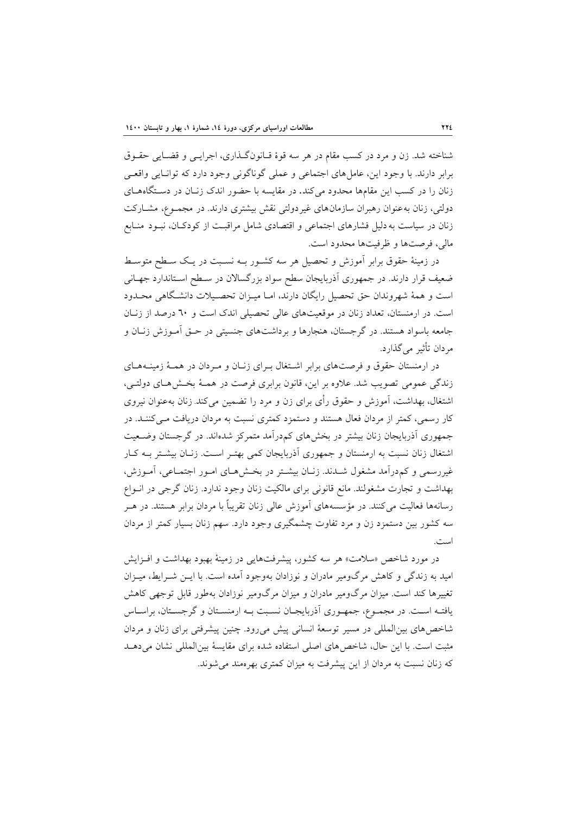شناخته شد. زن و مرد در کسب مقام در هر سه قوهٔ قـانونگـذاري، اجرايـبي و قضـايي حقـوق برابر دارند. با وجود این، عاملهای اجتماعی و عملی گوناگونی وجود دارد که توانـایی واقعـی زنان را در کسب این مقامها محدود میکند. در مقایسه با حضور اندک زنان در دستگاههای دولتی، زنان به عنوان رهبران سازمان های غیردولتی نقش بیشتری دارند. در مجمـوع، مشـارکت زنان در سیاست به دلیل فشارهای اجتماعی و اقتصادی شامل مراقبـت از کودکـان، نبـود منـابع مالی، فرصتها و ظرفیتها محدود است.

در زمینهٔ حقوق برابر آموزش و تحصیل هر سه کشـور بـه نسـبت در یـک سـطح متوسـط ضعیف قرار دارند. در جمهوری أذربایجان سطح سواد بزرگسالان در سـطح اسـتاندارد جهـانـی است و همهٔ شهروندان حق تحصیل رایگان دارند، امـا میـزان تحصـیلات دانشـگاهی محـدود است. در ارمنستان، تعداد زنان در موقعیتهای عالی تحصیلی اندک است و ٦٠ درصد از زنان جامعه باسواد هستند. در گرجستان، هنجارها و برداشتهای جنسیتی در حـق آمـوزش زنـان و مردان تأثير مي گذارد.

در ارمنستان حقوق و فرصتهای برابر اشتغال بـرای زنـان و مـردان در همـهٔ زمینـههـای زندگی عمومی تصویب شد. علاوه بر این، قانون برابری فرصت در همـهٔ بخـش۵حای دولتـی، اشتغال، بهداشت، آموزش و حقوق رأى براي زن و مرد را تضمين مى كند زنان بهعنوان نيروى کار رسمی، کمتر از مردان فعال هستند و دستمزد کمتری نسبت به مردان دریافت مـیکننـد. در جمهوری آذربایجان زنان بیشتر در بخشهای کمدرآمد متمرکز شدهاند. در گرجستان وضـعیت اشتغال زنان نسبت به ارمنستان و جمهوری آذربایجان کمی بهتـر اسـت. زنـان بیشـتر بـه کـار غيررسمي و كم درآمد مشغول شـدند. زنـان بيشـتر در بخـشهـاي امـور اجتمـاعي، آمـوزش، بهداشت و تجارت مشغولند. مانع قانونی برای مالکیت زنان وجود ندارد. زنان گرجی در انــواع رسانهها فعالیت میکنند. در مؤسسههای آموزش عالی زنان تقریباً با مردان برابر هستند. در هــر سه كشور بين دستمزد زن و مرد تفاوت چشمگيري وجود دارد. سهم زنان بسيار كمتر از مردان است.

در مورد شاخص «سلامت» هر سه كشور، پیشرفتهایی در زمینهٔ بهبود بهداشت و افـزایش اميد به زندگي و كاهش مرگ<code>ومير مادران و نوزادان بهوجود آمده است. با ايــن شــرايط، ميــزان</code> تغييرها كند است. ميزان مرگومير مادران و ميزان مرگومير نوزادان بهطور قابل توجهي كاهش یافتـه اسـت. در مجمـوع، جمهـوری آذربایجـان نسـبت بـه ارمنسـتان و گرجسـتان، براسـاس شاخص های بین المللی در مسیر توسعهٔ انسانی پیش می رود. چنین پیشرفتی برای زنان و مردان مثبت است. با این حال، شاخص های اصلی استفاده شده برای مقایسهٔ بین المللی نشان می دهـد كه زنان نسبت به مردان از اين پيشرفت به ميزان كمترى بهرهمند مى شوند.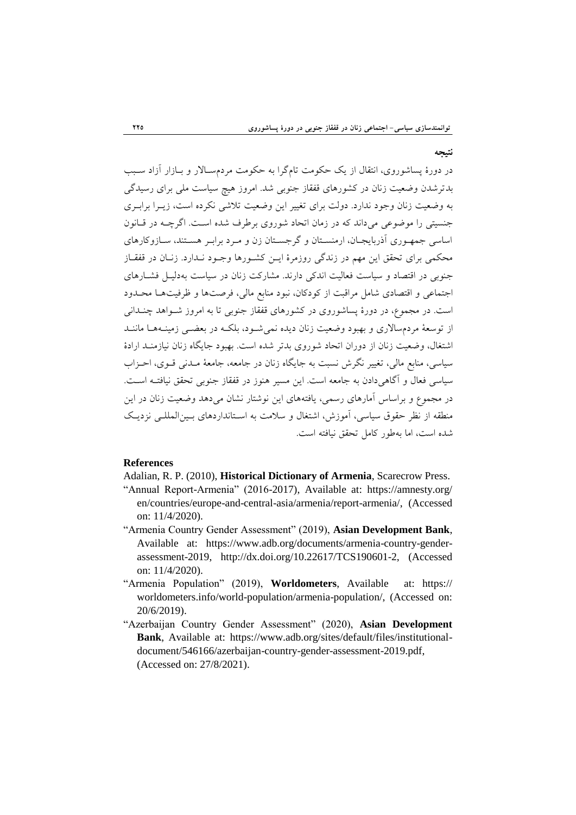**نتيجه** 

در دورهٔ پساشوروی، انتقال از یک حکومت تامگرا به حکومت مردمسـالار و بــازار آزاد ســبب بدترشدن وضعیت زنان در كشورهای قفقاز جنوبی شد. امروز هیچ سیاست ملی برای رسیدگی به وضعيت زنان وجود ندارد. دولت براي تغيير اين وضعيت تلاشي نكرده است، زيـرا برابـري جنسیتی را موضوعی میداند که در زمان اتحاد شوروی برطرف شده است. اگرچــه در قـانون اساسی جمهـوری آذربایجـان، ارمنسـتان و گرجسـتان زن و مـرد برابـر هسـتند، سـازوکارهای محكمي براي تحقق اين مهم در زندگي روزمرهٔ ايــن كشــورها وجــود نــدارد. زنــان در قفقــاز جنوبی در اقتصاد و سیاست فعالیت اندکی دارند. مشارکت زنان در سیاست بهدلیـل فشـارهای اجتماعي و اقتصادي شامل مراقبت از كودكان، نبود منابع مالي، فرصتها و ظرفيتهما محـدود است. در مجموع، در دورهٔ پساشوروی در كشورهای قفقاز جنوبی تا به امروز شـواهد چنـدانی از توسعهٔ مردمسالاری و بهبود وضعیت زنان دیده نمی شـود، بلکـه در بعضـی زمینـههـا ماننـد اشتغال، وضعیت زنان از دوران اتحاد شوروی بدتر شده است. بهبود جایگاه زنان نیازمنـد ارادهٔ سیاسی، منابع مالی، تغییر نگرش نسبت به جایگاه زنان در جامعه، جامعهٔ مـدنی قـوی، احـزاب سياسي فعال و آگاهي دادن به جامعه است. اين مسير هنوز در قفقاز جنوبي تحقق نيافتـه اسـت. در مجموع و براساس آمارهای رسمی، یافتههای این نوشتار نشان می دهد وضعیت زنان در این منطقه از نظر حقوق سیاسی، آموزش، اشتغال و سلامت به اسـتانداردهای بـین المللـی نزدیـک شده است، اما بهطور كامل تحقق نيافته است.

## **References**

Adalian, R. P. (2010), **Historical Dictionary of Armenia**, Scarecrow Press.

- "Annual Report-Armenia" (2016-2017), Available at: https://amnesty.org/ en/countries/europe-and-central-asia/armenia/report-armenia/, (Accessed on: 11/4/2020).
- "Armenia Country Gender Assessment" (2019), **Asian Development Bank**, Available at: https://www.adb.org/documents/armenia-country-genderassessment-2019, http://dx.doi.org/10.22617/TCS190601-2, (Accessed on: 11/4/2020).
- "Armenia Population" (2019), **Worldometers**, Available at: https:// worldometers.info/world-population/armenia-population/, (Accessed on: 20/6/2019).
- "Azerbaijan Country Gender Assessment" (2020), **Asian Development Bank**, Available at: https://www.adb.org/sites/default/files/institutionaldocument/546166/azerbaijan-country-gender-assessment-2019.pdf, (Accessed on: 27/8/2021).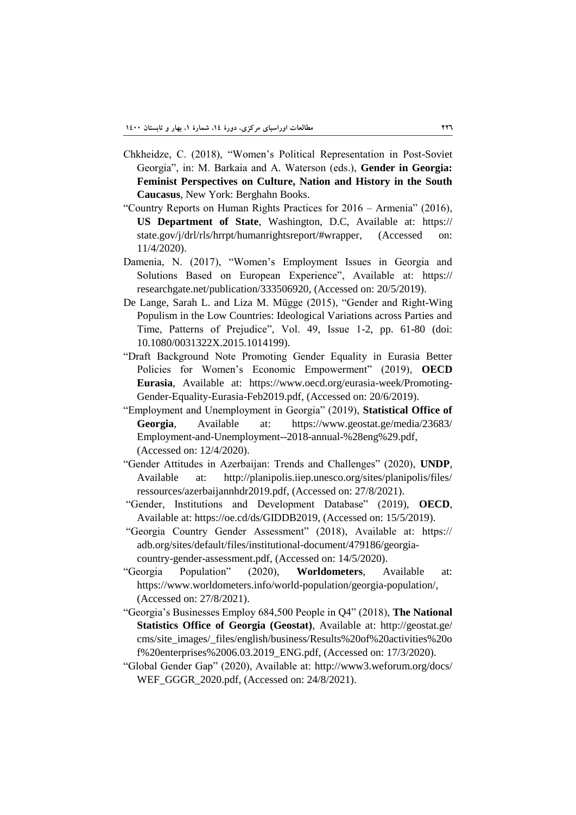- Chkheidze, C. (2018), "Women"s Political Representation in Post-Soviet Georgia", in: M. Barkaia and A. Waterson (eds.), **Gender in Georgia: Feminist Perspectives on Culture, Nation and History in the South Caucasus**, New York: Berghahn Books.
- "Country Reports on Human Rights Practices for 2016 Armenia" (2016), **US Department of State**, Washington, D.C, Available at: https:// state.gov/j/drl/rls/hrrpt/humanrightsreport/#wrapper, (Accessed on: 11/4/2020).
- Damenia, N. (2017), "Women"s Employment Issues in Georgia and Solutions Based on European Experience", Available at: https:// researchgate.net/publication/333506920, (Accessed on: 20/5/2019).
- De Lange, Sarah L. and Liza M. Mügge (2015), "Gender and Right-Wing Populism in the Low Countries: Ideological Variations across Parties and Time, Patterns of Prejudice", Vol. 49, Issue 1-2, pp. 61-80 (doi: 10.1080/0031322X.2015.1014199).
- "Draft Background Note Promoting Gender Equality in Eurasia Better Policies for Women"s Economic Empowerment" (2019), **OECD Eurasia**, Available at: https://www.oecd.org/eurasia-week/Promoting-Gender-Equality-Eurasia-Feb2019.pdf, (Accessed on: 20/6/2019).
- "Employment and Unemployment in Georgia" (2019), **Statistical Office of Georgia**, Available at: https://www.geostat.ge/media/23683/ Employment-and-Unemployment--2018-annual-%28eng%29.pdf, (Accessed on: 12/4/2020).
- "Gender Attitudes in Azerbaijan: Trends and Challenges" (2020), **UNDP**, Available at: http://planipolis.iiep.unesco.org/sites/planipolis/files/ ressources/azerbaijannhdr2019.pdf, (Accessed on: 27/8/2021).
- "Gender, Institutions and Development Database" (2019), **OECD**, Available at: https://oe.cd/ds/GIDDB2019, (Accessed on: 15/5/2019).
- "Georgia Country Gender Assessment" (2018), Available at: https:// adb.org/sites/default/files/institutional-document/479186/georgiacountry-gender-assessment.pdf, (Accessed on: 14/5/2020).
- "Georgia Population" (2020), **Worldometers**, Available at: https://www.worldometers.info/world-population/georgia-population/, (Accessed on: 27/8/2021).
- "Georgia"s Businesses Employ 684,500 People in Q4" (2018), **The National Statistics Office of Georgia (Geostat)**, Available at: http://geostat.ge/ cms/site\_images/\_files/english/business/Results%20of%20activities%20o f%20enterprises%2006.03.2019\_ENG.pdf, (Accessed on: 17/3/2020).
- "Global Gender Gap" (2020), Available at: http://www3.weforum.org/docs/ WEF\_GGGR\_2020.pdf, (Accessed on: 24/8/2021).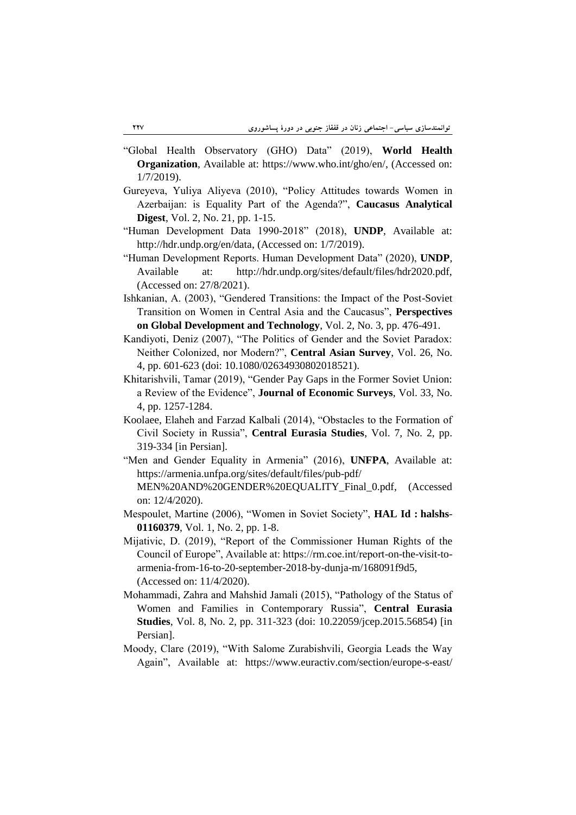- "Global Health Observatory (GHO) Data" (2019), **World Health Organization**, Available at: https://www.who.int/gho/en/, (Accessed on: 1/7/2019).
- Gureyeva, Yuliya Aliyeva (2010), "Policy Attitudes towards Women in Azerbaijan: is Equality Part of the Agenda?", **Caucasus Analytical Digest**, Vol. 2, No. 21, pp. 1-15.
- "Human Development Data 1990-2018" (2018), **UNDP**, Available at: http://hdr.undp.org/en/data, (Accessed on: 1/7/2019).
- "Human Development Reports. Human Development Data" (2020), **UNDP**, Available at: http://hdr.undp.org/sites/default/files/hdr2020.pdf, (Accessed on: 27/8/2021).
- Ishkanian, A. (2003), "Gendered Transitions: the Impact of the Post-Soviet Transition on Women in Central Asia and the Caucasus", **Perspectives on Global Development and Technology**, Vol. 2, No. 3, pp. 476-491.
- Kandiyoti, Deniz (2007), "The Politics of Gender and the Soviet Paradox: Neither Colonized, nor Modern?", **Central Asian Survey**, Vol. 26, No. 4, pp. 601-623 (doi: 10.1080/02634930802018521).
- Khitarishvili, Tamar (2019), "Gender Pay Gaps in the Former Soviet Union: a Review of the Evidence", **Journal of Economic Surveys**, Vol. 33, No. 4, pp. 1257-1284.
- Koolaee, Elaheh and Farzad Kalbali (2014), "Obstacles to the Formation of Civil Society in Russia", **Central Eurasia Studies**, Vol. 7, No. 2, pp. 319-334 [in Persian].
- "Men and Gender Equality in Armenia" (2016), **UNFPA**, Available at: https://armenia.unfpa.org/sites/default/files/pub-pdf/ MEN%20AND%20GENDER%20EQUALITY\_Final\_0.pdf, (Accessed
- Mespoulet, Martine (2006), "Women in Soviet Society", **HAL Id : halshs**-**01160379**, Vol. 1, No. 2, pp. 1-8.
- Mijativic, D. (2019), "Report of the Commissioner Human Rights of the Council of Europe", Available at: https://rm.coe.int/report-on-the-visit-toarmenia-from-16-to-20-september-2018-by-dunja-m/168091f9d5, (Accessed on: 11/4/2020).
- Mohammadi, Zahra and Mahshid Jamali (2015), "Pathology of the Status of Women and Families in Contemporary Russia", **Central Eurasia Studies**, Vol. 8, No. 2, pp. 311-323 (doi: 10.22059/jcep.2015.56854) [in Persian].
- Moody, Clare (2019), "With Salome Zurabishvili, Georgia Leads the Way Again", Available at: https://www.euractiv.com/section/europe-s-east/

on: 12/4/2020).